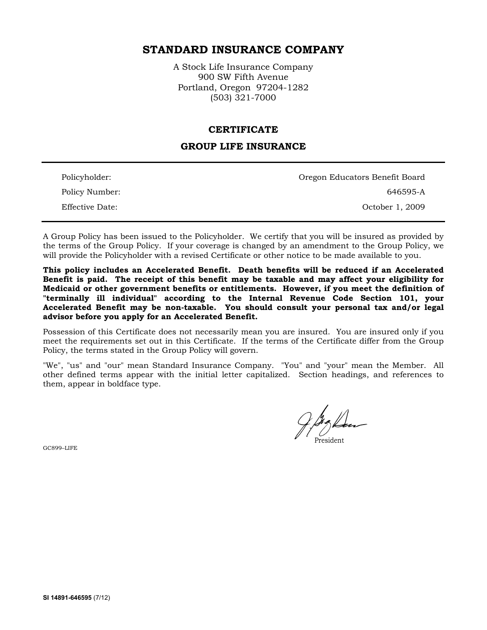# **STANDARD INSURANCE COMPANY**

A Stock Life Insurance Company 900 SW Fifth Avenue Portland, Oregon 97204-1282 (503) 321-7000

#### **CERTIFICATE**

### **GROUP LIFE INSURANCE**

| Policyholder:   | Oregon Educators Benefit Board |
|-----------------|--------------------------------|
| Policy Number:  | 646595-A                       |
| Effective Date: | October 1, 2009                |

A Group Policy has been issued to the Policyholder. We certify that you will be insured as provided by the terms of the Group Policy. If your coverage is changed by an amendment to the Group Policy, we will provide the Policyholder with a revised Certificate or other notice to be made available to you.

**This policy includes an Accelerated Benefit. Death benefits will be reduced if an Accelerated Benefit is paid. The receipt of this benefit may be taxable and may affect your eligibility for Medicaid or other government benefits or entitlements. However, if you meet the definition of "terminally ill individual" according to the Internal Revenue Code Section 101, your Accelerated Benefit may be non-taxable. You should consult your personal tax and/or legal advisor before you apply for an Accelerated Benefit.** 

Possession of this Certificate does not necessarily mean you are insured. You are insured only if you meet the requirements set out in this Certificate. If the terms of the Certificate differ from the Group Policy, the terms stated in the Group Policy will govern.

"We", "us" and "our" mean Standard Insurance Company. "You" and "your" mean the Member. All other defined terms appear with the initial letter capitalized. Section headings, and references to them, appear in boldface type.

GC899–LIFE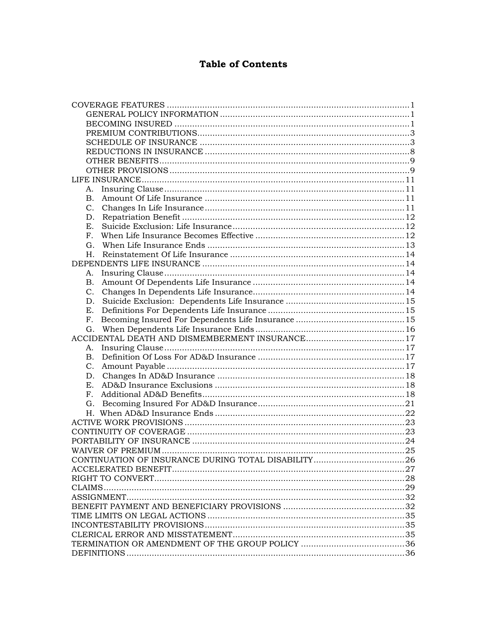# **Table of Contents**

| A.             |  |  |
|----------------|--|--|
| $\mathbf{B}$ . |  |  |
| C.             |  |  |
| D.             |  |  |
| E.             |  |  |
| F <sub>1</sub> |  |  |
| G.             |  |  |
| H.             |  |  |
|                |  |  |
| А.             |  |  |
| <b>B.</b>      |  |  |
|                |  |  |
| D.             |  |  |
| Ε.             |  |  |
| F <sub>r</sub> |  |  |
| G.             |  |  |
|                |  |  |
| А.             |  |  |
| В.             |  |  |
| C.             |  |  |
|                |  |  |
| E.             |  |  |
| F <sub>r</sub> |  |  |
| G.             |  |  |
|                |  |  |
|                |  |  |
|                |  |  |
|                |  |  |
|                |  |  |
|                |  |  |
|                |  |  |
|                |  |  |
|                |  |  |
|                |  |  |
|                |  |  |
|                |  |  |
|                |  |  |
|                |  |  |
|                |  |  |
|                |  |  |
|                |  |  |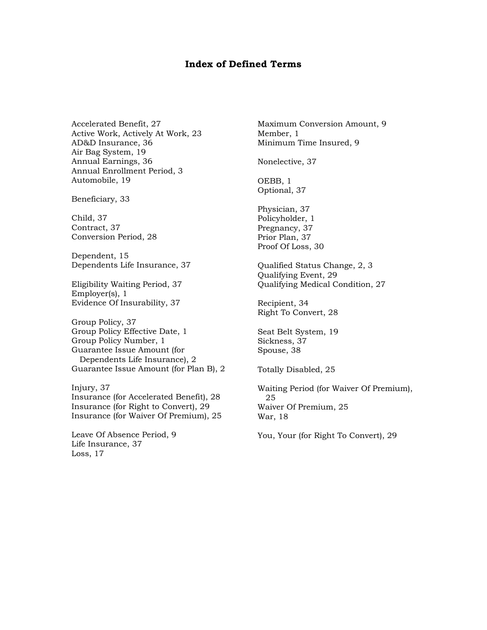### **Index of Defined Terms**

Accelerated Benefit, 27 Active Work, Actively At Work, 23 AD&D Insurance, 36 Air Bag System, 19 Annual Earnings, 36 Annual Enrollment Period, 3 Automobile, 19

Beneficiary, 33

Child, 37 Contract, 37 Conversion Period, 28

Dependent, 15 Dependents Life Insurance, 37

Eligibility Waiting Period, 37 Employer(s), 1 Evidence Of Insurability, 37

Group Policy, 37 Group Policy Effective Date, 1 Group Policy Number, 1 Guarantee Issue Amount (for Dependents Life Insurance), 2 Guarantee Issue Amount (for Plan B), 2

Injury, 37 Insurance (for Accelerated Benefit), 28 Insurance (for Right to Convert), 29 Insurance (for Waiver Of Premium), 25

Leave Of Absence Period, 9 Life Insurance, 37 Loss, 17

Maximum Conversion Amount, 9 Member, 1 Minimum Time Insured, 9

Nonelective, 37

OEBB, 1 Optional, 37

Physician, 37 Policyholder, 1 Pregnancy, 37 Prior Plan, 37 Proof Of Loss, 30

Qualified Status Change, 2, 3 Qualifying Event, 29 Qualifying Medical Condition, 27

Recipient, 34 Right To Convert, 28

Seat Belt System, 19 Sickness, 37 Spouse, 38

Totally Disabled, 25

Waiting Period (for Waiver Of Premium), 25 Waiver Of Premium, 25 War, 18

You, Your (for Right To Convert), 29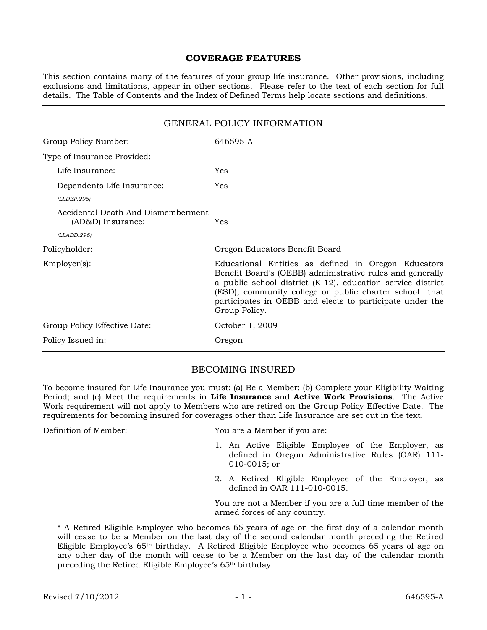### **COVERAGE FEATURES**

This section contains many of the features of your group life insurance. Other provisions, including exclusions and limitations, appear in other sections. Please refer to the text of each section for full details. The Table of Contents and the Index of Defined Terms help locate sections and definitions.

# GENERAL POLICY INFORMATION Group Policy Number: 646595-A Type of Insurance Provided: Life Insurance: Yes Dependents Life Insurance: Yes *(LI.DEP.296)* Accidental Death And Dismemberment (AD&D) Insurance: Yes *(LI.ADD.296)* Policyholder: Oregon Educators Benefit Board Employer(s): Educational Entities as defined in Oregon Educators Benefit Board's (OEBB) administrative rules and generally a public school district (K-12), education service district (ESD), community college or public charter school that participates in OEBB and elects to participate under the Group Policy. Group Policy Effective Date: 0ctober 1, 2009 Policy Issued in: Oregon

### BECOMING INSURED

To become insured for Life Insurance you must: (a) Be a Member; (b) Complete your Eligibility Waiting Period; and (c) Meet the requirements in **Life Insurance** and **Active Work Provisions**. The Active Work requirement will not apply to Members who are retired on the Group Policy Effective Date. The requirements for becoming insured for coverages other than Life Insurance are set out in the text.

Definition of Member: You are a Member if you are:

- 1. An Active Eligible Employee of the Employer, as defined in Oregon Administrative Rules (OAR) 111- 010-0015; or
- 2. A Retired Eligible Employee of the Employer, as defined in OAR 111-010-0015.

You are not a Member if you are a full time member of the armed forces of any country.

\* A Retired Eligible Employee who becomes 65 years of age on the first day of a calendar month will cease to be a Member on the last day of the second calendar month preceding the Retired Eligible Employee's 65th birthday. A Retired Eligible Employee who becomes 65 years of age on any other day of the month will cease to be a Member on the last day of the calendar month preceding the Retired Eligible Employee's 65th birthday.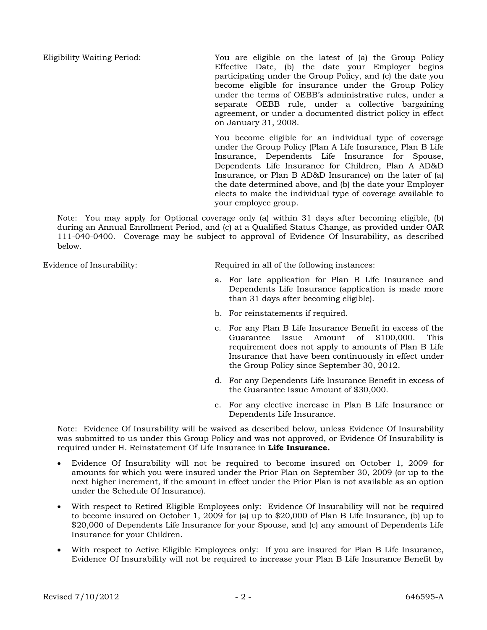Eligibility Waiting Period: You are eligible on the latest of (a) the Group Policy Effective Date, (b) the date your Employer begins participating under the Group Policy, and (c) the date you become eligible for insurance under the Group Policy under the terms of OEBB's administrative rules, under a separate OEBB rule, under a collective bargaining agreement, or under a documented district policy in effect on January 31, 2008.

> You become eligible for an individual type of coverage under the Group Policy (Plan A Life Insurance, Plan B Life Insurance, Dependents Life Insurance for Spouse, Dependents Life Insurance for Children, Plan A AD&D Insurance, or Plan B AD&D Insurance) on the later of (a) the date determined above, and (b) the date your Employer elects to make the individual type of coverage available to your employee group.

Note: You may apply for Optional coverage only (a) within 31 days after becoming eligible, (b) during an Annual Enrollment Period, and (c) at a Qualified Status Change, as provided under OAR 111-040-0400. Coverage may be subject to approval of Evidence Of Insurability, as described below.

Evidence of Insurability: Required in all of the following instances:

- a. For late application for Plan B Life Insurance and Dependents Life Insurance (application is made more than 31 days after becoming eligible).
- b. For reinstatements if required.
- c. For any Plan B Life Insurance Benefit in excess of the Guarantee Issue Amount of \$100,000. This requirement does not apply to amounts of Plan B Life Insurance that have been continuously in effect under the Group Policy since September 30, 2012.
- d. For any Dependents Life Insurance Benefit in excess of the Guarantee Issue Amount of \$30,000.
- e. For any elective increase in Plan B Life Insurance or Dependents Life Insurance.

Note: Evidence Of Insurability will be waived as described below, unless Evidence Of Insurability was submitted to us under this Group Policy and was not approved, or Evidence Of Insurability is required under H. Reinstatement Of Life Insurance in **Life Insurance.**

- Evidence Of Insurability will not be required to become insured on October 1, 2009 for amounts for which you were insured under the Prior Plan on September 30, 2009 (or up to the next higher increment, if the amount in effect under the Prior Plan is not available as an option under the Schedule Of Insurance).
- With respect to Retired Eligible Employees only: Evidence Of Insurability will not be required to become insured on October 1, 2009 for (a) up to \$20,000 of Plan B Life Insurance, (b) up to \$20,000 of Dependents Life Insurance for your Spouse, and (c) any amount of Dependents Life Insurance for your Children.
- With respect to Active Eligible Employees only: If you are insured for Plan B Life Insurance, Evidence Of Insurability will not be required to increase your Plan B Life Insurance Benefit by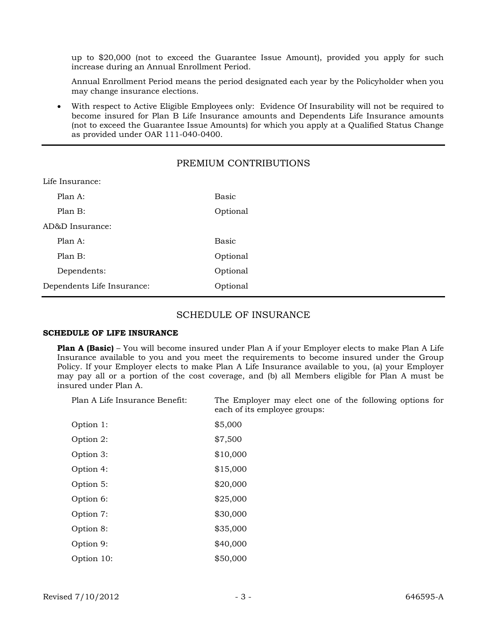up to \$20,000 (not to exceed the Guarantee Issue Amount), provided you apply for such increase during an Annual Enrollment Period.

Annual Enrollment Period means the period designated each year by the Policyholder when you may change insurance elections.

 With respect to Active Eligible Employees only: Evidence Of Insurability will not be required to become insured for Plan B Life Insurance amounts and Dependents Life Insurance amounts (not to exceed the Guarantee Issue Amounts) for which you apply at a Qualified Status Change as provided under OAR 111-040-0400.

### PREMIUM CONTRIBUTIONS

| Lile insurance:            |          |  |
|----------------------------|----------|--|
| Plan A:                    | Basic    |  |
| Plan B:                    | Optional |  |
| AD&D Insurance:            |          |  |
| Plan A:                    | Basic    |  |
| Plan B:                    | Optional |  |
| Dependents:                | Optional |  |
| Dependents Life Insurance: | Optional |  |
|                            |          |  |

### SCHEDULE OF INSURANCE

### **SCHEDULE OF LIFE INSURANCE**

Life Insurance:

**Plan A (Basic)** – You will become insured under Plan A if your Employer elects to make Plan A Life Insurance available to you and you meet the requirements to become insured under the Group Policy. If your Employer elects to make Plan A Life Insurance available to you, (a) your Employer may pay all or a portion of the cost coverage, and (b) all Members eligible for Plan A must be insured under Plan A.

Plan A Life Insurance Benefit: The Employer may elect one of the following options for each of its employee groups:

| Option 1:  | \$5,000  |
|------------|----------|
| Option 2:  | \$7,500  |
| Option 3:  | \$10,000 |
| Option 4:  | \$15,000 |
| Option 5:  | \$20,000 |
| Option 6:  | \$25,000 |
| Option 7:  | \$30,000 |
| Option 8:  | \$35,000 |
| Option 9:  | \$40,000 |
| Option 10: | \$50,000 |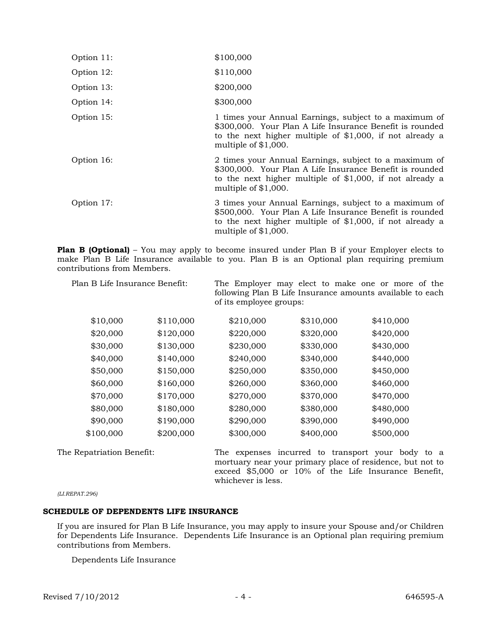| Option 11: | \$100,000 |
|------------|-----------|
|            |           |

Option 12: \$110,000

Option 13: \$200,000

Option 14: \$300,000

- Option 15: 1 times your Annual Earnings, subject to a maximum of \$300,000. Your Plan A Life Insurance Benefit is rounded to the next higher multiple of \$1,000, if not already a multiple of \$1,000.
- Option 16: 2 times your Annual Earnings, subject to a maximum of \$300,000. Your Plan A Life Insurance Benefit is rounded to the next higher multiple of \$1,000, if not already a multiple of \$1,000.
- Option 17: 3 times your Annual Earnings, subject to a maximum of \$500,000. Your Plan A Life Insurance Benefit is rounded to the next higher multiple of \$1,000, if not already a multiple of \$1,000.

**Plan B (Optional)** – You may apply to become insured under Plan B if your Employer elects to make Plan B Life Insurance available to you. Plan B is an Optional plan requiring premium contributions from Members.

| Plan B Life Insurance Benefit: |           | of its employee groups: |           | The Employer may elect to make one or more of the<br>following Plan B Life Insurance amounts available to each |
|--------------------------------|-----------|-------------------------|-----------|----------------------------------------------------------------------------------------------------------------|
| \$10,000                       | \$110,000 | \$210,000               | \$310,000 | \$410,000                                                                                                      |
| \$20,000                       | \$120,000 | \$220,000               | \$320,000 | \$420,000                                                                                                      |
| \$30,000                       | \$130,000 | \$230,000               | \$330,000 | \$430,000                                                                                                      |
| \$40,000                       | \$140,000 | \$240,000               | \$340,000 | \$440,000                                                                                                      |
| \$50,000                       | \$150,000 | \$250,000               | \$350,000 | \$450,000                                                                                                      |
| \$60,000                       | \$160,000 | \$260,000               | \$360,000 | \$460,000                                                                                                      |
| \$70,000                       | \$170,000 | \$270,000               | \$370,000 | \$470,000                                                                                                      |
| \$80,000                       | \$180,000 | \$280,000               | \$380,000 | \$480,000                                                                                                      |
| \$90,000                       | \$190,000 | \$290,000               | \$390,000 | \$490,000                                                                                                      |
| \$100,000                      | \$200,000 | \$300,000               | \$400,000 | \$500,000                                                                                                      |

The Repatriation Benefit: The expenses incurred to transport your body to a mortuary near your primary place of residence, but not to exceed \$5,000 or 10% of the Life Insurance Benefit, whichever is less.

*(LI.REPAT.296)*

### **SCHEDULE OF DEPENDENTS LIFE INSURANCE**

If you are insured for Plan B Life Insurance, you may apply to insure your Spouse and/or Children for Dependents Life Insurance. Dependents Life Insurance is an Optional plan requiring premium contributions from Members.

Dependents Life Insurance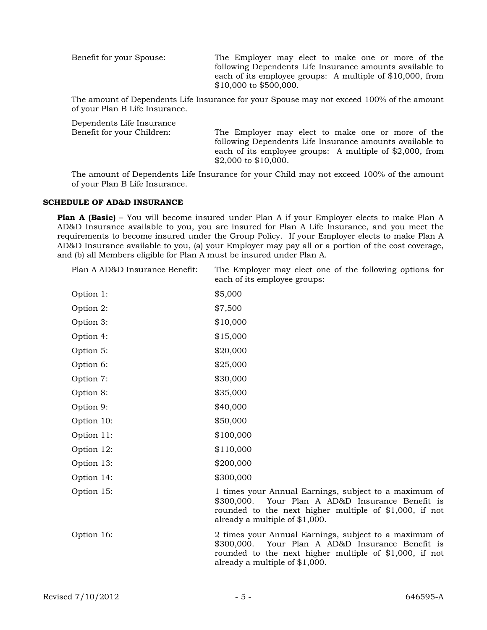Benefit for your Spouse: The Employer may elect to make one or more of the following Dependents Life Insurance amounts available to each of its employee groups: A multiple of \$10,000, from \$10,000 to \$500,000.

The amount of Dependents Life Insurance for your Spouse may not exceed 100% of the amount of your Plan B Life Insurance.

| Dependents Life Insurance  |                                                                                                                                                                                                        |
|----------------------------|--------------------------------------------------------------------------------------------------------------------------------------------------------------------------------------------------------|
| Benefit for your Children: | The Employer may elect to make one or more of the<br>following Dependents Life Insurance amounts available to<br>each of its employee groups: A multiple of $$2,000$ , from<br>$$2,000$ to $$10,000$ . |
|                            |                                                                                                                                                                                                        |

The amount of Dependents Life Insurance for your Child may not exceed 100% of the amount of your Plan B Life Insurance.

#### **SCHEDULE OF AD&D INSURANCE**

**Plan A (Basic)** – You will become insured under Plan A if your Employer elects to make Plan A AD&D Insurance available to you, you are insured for Plan A Life Insurance, and you meet the requirements to become insured under the Group Policy. If your Employer elects to make Plan A AD&D Insurance available to you, (a) your Employer may pay all or a portion of the cost coverage, and (b) all Members eligible for Plan A must be insured under Plan A.

Plan A AD&D Insurance Benefit: The Employer may elect one of the following options for each of its employee groups:

| Option 1:  | \$5,000                                                                                                                                                                                                  |
|------------|----------------------------------------------------------------------------------------------------------------------------------------------------------------------------------------------------------|
| Option 2:  | \$7,500                                                                                                                                                                                                  |
| Option 3:  | \$10,000                                                                                                                                                                                                 |
| Option 4:  | \$15,000                                                                                                                                                                                                 |
| Option 5:  | \$20,000                                                                                                                                                                                                 |
| Option 6:  | \$25,000                                                                                                                                                                                                 |
| Option 7:  | \$30,000                                                                                                                                                                                                 |
| Option 8:  | \$35,000                                                                                                                                                                                                 |
| Option 9:  | \$40,000                                                                                                                                                                                                 |
| Option 10: | \$50,000                                                                                                                                                                                                 |
| Option 11: | \$100,000                                                                                                                                                                                                |
| Option 12: | \$110,000                                                                                                                                                                                                |
| Option 13: | \$200,000                                                                                                                                                                                                |
| Option 14: | \$300,000                                                                                                                                                                                                |
| Option 15: | 1 times your Annual Earnings, subject to a maximum of<br>\$300,000. Your Plan A AD&D Insurance Benefit is<br>rounded to the next higher multiple of $$1,000$ , if not<br>already a multiple of \$1,000.  |
| Option 16: | 2 times your Annual Earnings, subject to a maximum of<br>Your Plan A AD&D Insurance Benefit is<br>\$300,000.<br>rounded to the next higher multiple of \$1,000, if not<br>already a multiple of \$1,000. |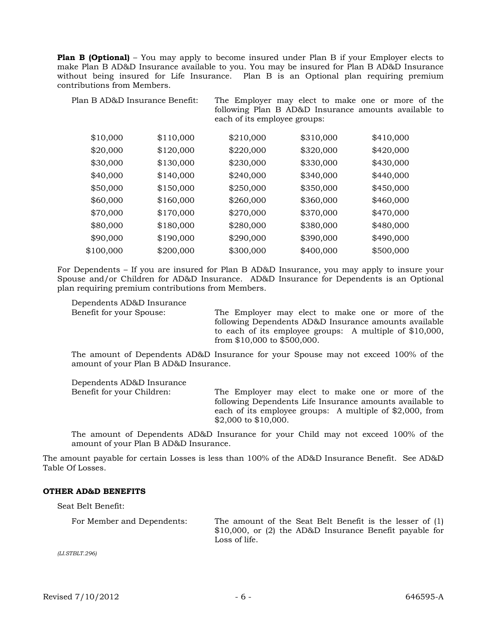**Plan B (Optional)** – You may apply to become insured under Plan B if your Employer elects to make Plan B AD&D Insurance available to you. You may be insured for Plan B AD&D Insurance without being insured for Life Insurance. Plan B is an Optional plan requiring premium contributions from Members.

Plan B AD&D Insurance Benefit: The Employer may elect to make one or more of the following Plan B AD&D Insurance amounts available to each of its employee groups:

| \$10,000  | \$110,000 | \$210,000 | \$310,000 | \$410,000 |
|-----------|-----------|-----------|-----------|-----------|
| \$20,000  | \$120,000 | \$220,000 | \$320,000 | \$420,000 |
| \$30,000  | \$130,000 | \$230,000 | \$330,000 | \$430,000 |
| \$40,000  | \$140,000 | \$240,000 | \$340,000 | \$440,000 |
| \$50,000  | \$150,000 | \$250,000 | \$350,000 | \$450,000 |
| \$60,000  | \$160,000 | \$260,000 | \$360,000 | \$460,000 |
| \$70,000  | \$170,000 | \$270,000 | \$370,000 | \$470,000 |
| \$80,000  | \$180,000 | \$280,000 | \$380,000 | \$480,000 |
| \$90,000  | \$190,000 | \$290,000 | \$390,000 | \$490,000 |
| \$100,000 | \$200,000 | \$300,000 | \$400,000 | \$500,000 |

For Dependents – If you are insured for Plan B AD&D Insurance, you may apply to insure your Spouse and/or Children for AD&D Insurance. AD&D Insurance for Dependents is an Optional plan requiring premium contributions from Members.

Dependents AD&D Insurance

Benefit for your Spouse: The Employer may elect to make one or more of the following Dependents AD&D Insurance amounts available to each of its employee groups: A multiple of \$10,000, from \$10,000 to \$500,000.

The amount of Dependents AD&D Insurance for your Spouse may not exceed 100% of the amount of your Plan B AD&D Insurance.

Dependents AD&D Insurance

Benefit for your Children: The Employer may elect to make one or more of the following Dependents Life Insurance amounts available to each of its employee groups: A multiple of \$2,000, from \$2,000 to \$10,000.

The amount of Dependents AD&D Insurance for your Child may not exceed 100% of the amount of your Plan B AD&D Insurance.

The amount payable for certain Losses is less than 100% of the AD&D Insurance Benefit. See AD&D Table Of Losses.

#### **OTHER AD&D BENEFITS**

Seat Belt Benefit:

For Member and Dependents: The amount of the Seat Belt Benefit is the lesser of (1) \$10,000, or (2) the AD&D Insurance Benefit payable for Loss of life.

*(LI.STBLT.296)*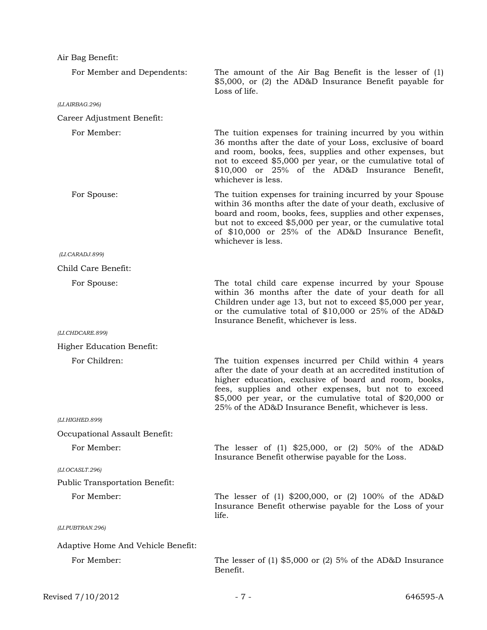| Air Bag Benefit:                      |                                                                                                                                                                                                                                                                                                                                                              |
|---------------------------------------|--------------------------------------------------------------------------------------------------------------------------------------------------------------------------------------------------------------------------------------------------------------------------------------------------------------------------------------------------------------|
| For Member and Dependents:            | The amount of the Air Bag Benefit is the lesser of $(1)$<br>\$5,000, or (2) the AD&D Insurance Benefit payable for<br>Loss of life.                                                                                                                                                                                                                          |
| (LI.AIRBAG.296)                       |                                                                                                                                                                                                                                                                                                                                                              |
| Career Adjustment Benefit:            |                                                                                                                                                                                                                                                                                                                                                              |
| For Member:                           | The tuition expenses for training incurred by you within<br>36 months after the date of your Loss, exclusive of board<br>and room, books, fees, supplies and other expenses, but<br>not to exceed \$5,000 per year, or the cumulative total of<br>\$10,000 or 25% of the AD&D Insurance Benefit,<br>whichever is less.                                       |
| For Spouse:                           | The tuition expenses for training incurred by your Spouse<br>within 36 months after the date of your death, exclusive of<br>board and room, books, fees, supplies and other expenses,<br>but not to exceed \$5,000 per year, or the cumulative total<br>of \$10,000 or 25% of the AD&D Insurance Benefit,<br>whichever is less.                              |
| (LI.CARADJ.899)                       |                                                                                                                                                                                                                                                                                                                                                              |
| Child Care Benefit:                   |                                                                                                                                                                                                                                                                                                                                                              |
| For Spouse:                           | The total child care expense incurred by your Spouse<br>within 36 months after the date of your death for all<br>Children under age 13, but not to exceed \$5,000 per year,<br>or the cumulative total of \$10,000 or 25% of the AD&D<br>Insurance Benefit, whichever is less.                                                                               |
| (LI.CHDCARE.899)                      |                                                                                                                                                                                                                                                                                                                                                              |
| Higher Education Benefit:             |                                                                                                                                                                                                                                                                                                                                                              |
| For Children:                         | The tuition expenses incurred per Child within 4 years<br>after the date of your death at an accredited institution of<br>higher education, exclusive of board and room, books,<br>fees, supplies and other expenses, but not to exceed<br>\$5,000 per year, or the cumulative total of \$20,000 or<br>25% of the AD&D Insurance Benefit, whichever is less. |
| (LI.HIGHED.899)                       |                                                                                                                                                                                                                                                                                                                                                              |
| Occupational Assault Benefit:         |                                                                                                                                                                                                                                                                                                                                                              |
| For Member:                           | The lesser of (1) $$25,000$ , or (2) $50\%$ of the AD&D<br>Insurance Benefit otherwise payable for the Loss.                                                                                                                                                                                                                                                 |
| (LI.OCASLT.296)                       |                                                                                                                                                                                                                                                                                                                                                              |
| <b>Public Transportation Benefit:</b> |                                                                                                                                                                                                                                                                                                                                                              |
| For Member:                           | The lesser of (1) $$200,000$ , or (2) 100% of the AD&D<br>Insurance Benefit otherwise payable for the Loss of your<br>life.                                                                                                                                                                                                                                  |
| (LI.PUBTRAN.296)                      |                                                                                                                                                                                                                                                                                                                                                              |
| Adaptive Home And Vehicle Benefit:    |                                                                                                                                                                                                                                                                                                                                                              |
| For Member:                           | The lesser of $(1)$ \$5,000 or $(2)$ 5% of the AD&D Insurance<br>Benefit.                                                                                                                                                                                                                                                                                    |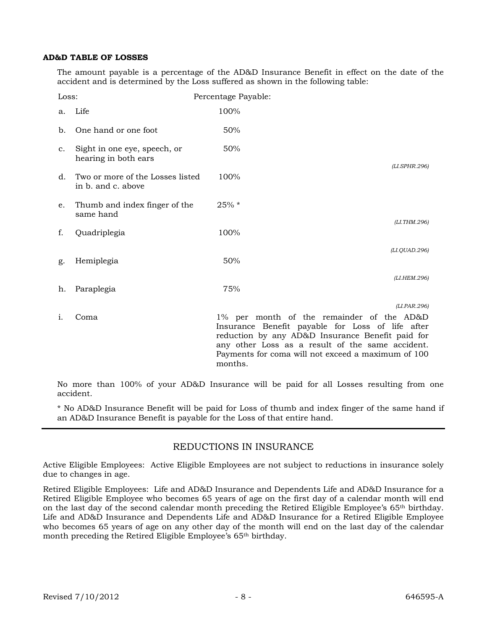#### **AD&D TABLE OF LOSSES**

The amount payable is a percentage of the AD&D Insurance Benefit in effect on the date of the accident and is determined by the Loss suffered as shown in the following table:

| Loss: |                                                        | Percentage Payable: |                                                                                                                                                                                                                                                                             |
|-------|--------------------------------------------------------|---------------------|-----------------------------------------------------------------------------------------------------------------------------------------------------------------------------------------------------------------------------------------------------------------------------|
| a.    | Life                                                   | 100%                |                                                                                                                                                                                                                                                                             |
| b.    | One hand or one foot                                   | 50%                 |                                                                                                                                                                                                                                                                             |
| c.    | Sight in one eye, speech, or<br>hearing in both ears   | 50%                 | (LI.SPHR.296)                                                                                                                                                                                                                                                               |
| d.    | Two or more of the Losses listed<br>in b. and c. above | 100%                |                                                                                                                                                                                                                                                                             |
| e.    | Thumb and index finger of the<br>same hand             | 25% *               |                                                                                                                                                                                                                                                                             |
| f.    | Quadriplegia                                           | 100%                | (LI.THM.296)                                                                                                                                                                                                                                                                |
| g.    | Hemiplegia                                             | 50%                 | (LI.QUAD.296)                                                                                                                                                                                                                                                               |
| h.    | Paraplegia                                             | 75%                 | (LI.HEM.296)                                                                                                                                                                                                                                                                |
| 1.    | Coma                                                   |                     | (LI.PAR.296)<br>1% per month of the remainder of the AD&D<br>Insurance Benefit payable for Loss of life after<br>reduction by any AD&D Insurance Benefit paid for<br>any other Loss as a result of the same accident.<br>Payments for coma will not exceed a maximum of 100 |

No more than 100% of your AD&D Insurance will be paid for all Losses resulting from one accident.

months.

\* No AD&D Insurance Benefit will be paid for Loss of thumb and index finger of the same hand if an AD&D Insurance Benefit is payable for the Loss of that entire hand.

### REDUCTIONS IN INSURANCE

Active Eligible Employees: Active Eligible Employees are not subject to reductions in insurance solely due to changes in age.

Retired Eligible Employees: Life and AD&D Insurance and Dependents Life and AD&D Insurance for a Retired Eligible Employee who becomes 65 years of age on the first day of a calendar month will end on the last day of the second calendar month preceding the Retired Eligible Employee's 65th birthday. Life and AD&D Insurance and Dependents Life and AD&D Insurance for a Retired Eligible Employee who becomes 65 years of age on any other day of the month will end on the last day of the calendar month preceding the Retired Eligible Employee's 65th birthday.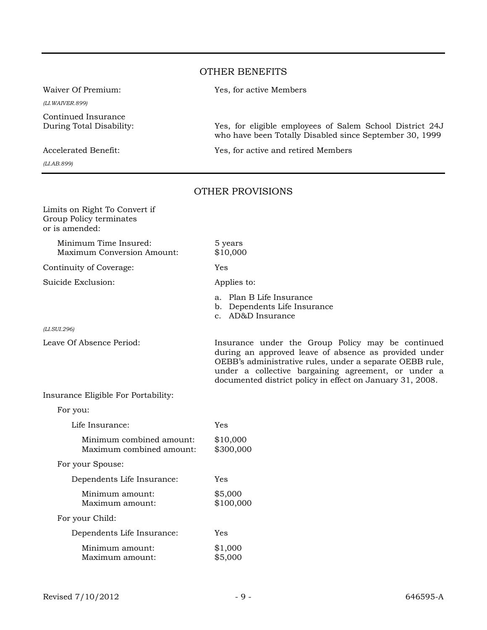## OTHER BENEFITS

*(LI.WAIVER.899)*

Continued Insurance

*(LI.AB.899)*

Waiver Of Premium: Yes, for active Members

During Total Disability: Yes, for eligible employees of Salem School District 24J who have been Totally Disabled since September 30, 1999

Accelerated Benefit: Yes, for active and retired Members

### OTHER PROVISIONS

| Limits on Right To Convert if<br>Group Policy terminates<br>or is amended: |                                                                                                                                                                                                                                                                                            |
|----------------------------------------------------------------------------|--------------------------------------------------------------------------------------------------------------------------------------------------------------------------------------------------------------------------------------------------------------------------------------------|
| Minimum Time Insured:<br>Maximum Conversion Amount:                        | 5 years<br>\$10,000                                                                                                                                                                                                                                                                        |
| Continuity of Coverage:                                                    | Yes                                                                                                                                                                                                                                                                                        |
| Suicide Exclusion:                                                         | Applies to:                                                                                                                                                                                                                                                                                |
|                                                                            | a. Plan B Life Insurance<br>b. Dependents Life Insurance<br>c. AD&D Insurance                                                                                                                                                                                                              |
| (LI.SUI.296)                                                               |                                                                                                                                                                                                                                                                                            |
| Leave Of Absence Period:                                                   | Insurance under the Group Policy may be continued<br>during an approved leave of absence as provided under<br>OEBB's administrative rules, under a separate OEBB rule,<br>under a collective bargaining agreement, or under a<br>documented district policy in effect on January 31, 2008. |
| Insurance Eligible For Portability:                                        |                                                                                                                                                                                                                                                                                            |
| For you:                                                                   |                                                                                                                                                                                                                                                                                            |
| Life Insurance:                                                            | Yes                                                                                                                                                                                                                                                                                        |
| Minimum combined amount:<br>Maximum combined amount:                       | \$10,000<br>\$300,000                                                                                                                                                                                                                                                                      |
| For your Spouse:                                                           |                                                                                                                                                                                                                                                                                            |
| Dependents Life Insurance:                                                 | Yes                                                                                                                                                                                                                                                                                        |
| Minimum amount:<br>Maximum amount:                                         | \$5,000<br>\$100,000                                                                                                                                                                                                                                                                       |
| For your Child:                                                            |                                                                                                                                                                                                                                                                                            |
| Dependents Life Insurance:                                                 | Yes                                                                                                                                                                                                                                                                                        |
| Minimum amount:<br>Maximum amount:                                         | \$1,000<br>\$5,000                                                                                                                                                                                                                                                                         |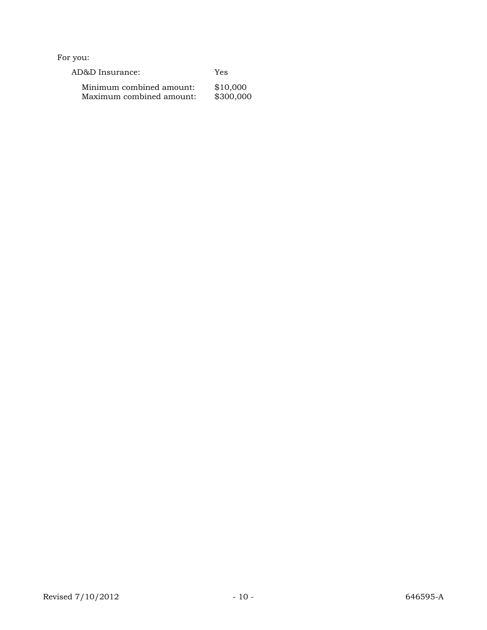For you:

| AD&D Insurance:          | Yes       |
|--------------------------|-----------|
| Minimum combined amount: | \$10,000  |
| Maximum combined amount: | \$300,000 |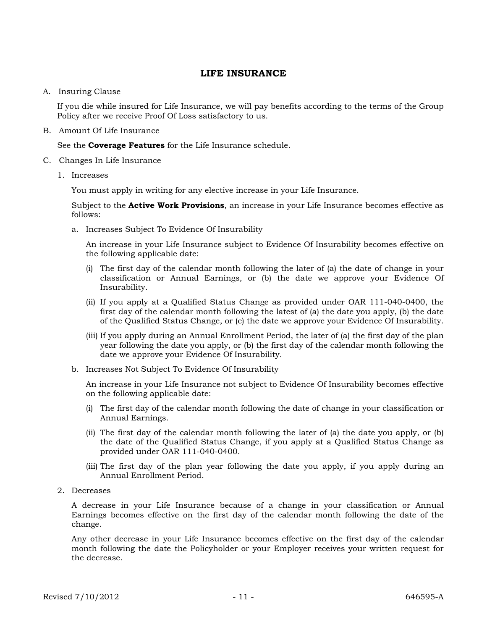### **LIFE INSURANCE**

A. Insuring Clause

If you die while insured for Life Insurance, we will pay benefits according to the terms of the Group Policy after we receive Proof Of Loss satisfactory to us.

B. Amount Of Life Insurance

See the **Coverage Features** for the Life Insurance schedule.

- C. Changes In Life Insurance
	- 1. Increases

You must apply in writing for any elective increase in your Life Insurance.

Subject to the **Active Work Provisions**, an increase in your Life Insurance becomes effective as follows:

a. Increases Subject To Evidence Of Insurability

An increase in your Life Insurance subject to Evidence Of Insurability becomes effective on the following applicable date:

- (i) The first day of the calendar month following the later of (a) the date of change in your classification or Annual Earnings, or (b) the date we approve your Evidence Of Insurability.
- (ii) If you apply at a Qualified Status Change as provided under OAR 111-040-0400, the first day of the calendar month following the latest of (a) the date you apply, (b) the date of the Qualified Status Change, or (c) the date we approve your Evidence Of Insurability.
- (iii) If you apply during an Annual Enrollment Period, the later of (a) the first day of the plan year following the date you apply, or (b) the first day of the calendar month following the date we approve your Evidence Of Insurability.
- b. Increases Not Subject To Evidence Of Insurability

An increase in your Life Insurance not subject to Evidence Of Insurability becomes effective on the following applicable date:

- (i) The first day of the calendar month following the date of change in your classification or Annual Earnings.
- (ii) The first day of the calendar month following the later of (a) the date you apply, or (b) the date of the Qualified Status Change, if you apply at a Qualified Status Change as provided under OAR 111-040-0400.
- (iii) The first day of the plan year following the date you apply, if you apply during an Annual Enrollment Period.
- 2. Decreases

A decrease in your Life Insurance because of a change in your classification or Annual Earnings becomes effective on the first day of the calendar month following the date of the change.

Any other decrease in your Life Insurance becomes effective on the first day of the calendar month following the date the Policyholder or your Employer receives your written request for the decrease.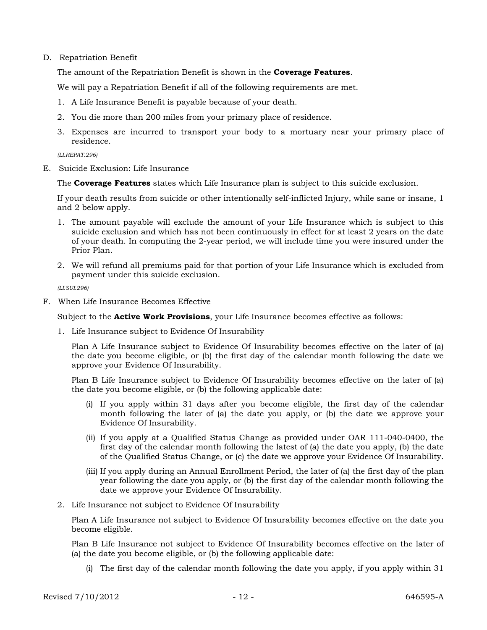### D. Repatriation Benefit

The amount of the Repatriation Benefit is shown in the **Coverage Features**.

We will pay a Repatriation Benefit if all of the following requirements are met.

- 1. A Life Insurance Benefit is payable because of your death.
- 2. You die more than 200 miles from your primary place of residence.
- 3. Expenses are incurred to transport your body to a mortuary near your primary place of residence.

*(LI.REPAT.296)*

E. Suicide Exclusion: Life Insurance

The **Coverage Features** states which Life Insurance plan is subject to this suicide exclusion.

If your death results from suicide or other intentionally self-inflicted Injury, while sane or insane, 1 and 2 below apply.

- 1. The amount payable will exclude the amount of your Life Insurance which is subject to this suicide exclusion and which has not been continuously in effect for at least 2 years on the date of your death. In computing the 2-year period, we will include time you were insured under the Prior Plan.
- 2. We will refund all premiums paid for that portion of your Life Insurance which is excluded from payment under this suicide exclusion.

*(LI.SUI.296)*

F. When Life Insurance Becomes Effective

Subject to the **Active Work Provisions**, your Life Insurance becomes effective as follows:

1. Life Insurance subject to Evidence Of Insurability

Plan A Life Insurance subject to Evidence Of Insurability becomes effective on the later of (a) the date you become eligible, or (b) the first day of the calendar month following the date we approve your Evidence Of Insurability.

Plan B Life Insurance subject to Evidence Of Insurability becomes effective on the later of (a) the date you become eligible, or (b) the following applicable date:

- (i) If you apply within 31 days after you become eligible, the first day of the calendar month following the later of (a) the date you apply, or (b) the date we approve your Evidence Of Insurability.
- (ii) If you apply at a Qualified Status Change as provided under OAR 111-040-0400, the first day of the calendar month following the latest of (a) the date you apply, (b) the date of the Qualified Status Change, or (c) the date we approve your Evidence Of Insurability.
- (iii) If you apply during an Annual Enrollment Period, the later of (a) the first day of the plan year following the date you apply, or (b) the first day of the calendar month following the date we approve your Evidence Of Insurability.
- 2. Life Insurance not subject to Evidence Of Insurability

Plan A Life Insurance not subject to Evidence Of Insurability becomes effective on the date you become eligible.

Plan B Life Insurance not subject to Evidence Of Insurability becomes effective on the later of (a) the date you become eligible, or (b) the following applicable date:

(i) The first day of the calendar month following the date you apply, if you apply within 31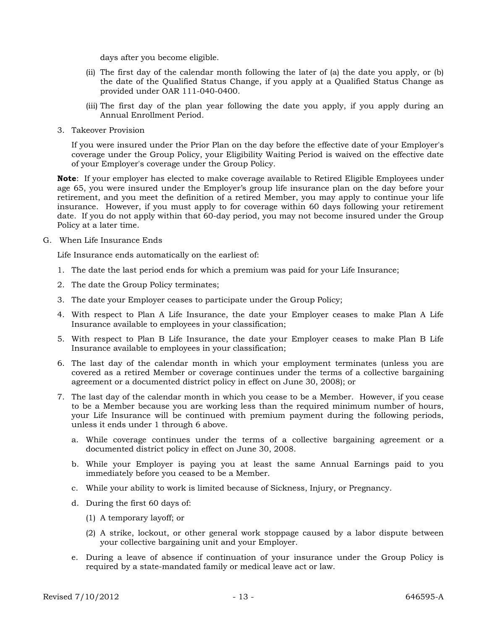days after you become eligible.

- (ii) The first day of the calendar month following the later of (a) the date you apply, or (b) the date of the Qualified Status Change, if you apply at a Qualified Status Change as provided under OAR 111-040-0400.
- (iii) The first day of the plan year following the date you apply, if you apply during an Annual Enrollment Period.
- 3. Takeover Provision

If you were insured under the Prior Plan on the day before the effective date of your Employer's coverage under the Group Policy, your Eligibility Waiting Period is waived on the effective date of your Employer's coverage under the Group Policy.

**Note**: If your employer has elected to make coverage available to Retired Eligible Employees under age 65, you were insured under the Employer's group life insurance plan on the day before your retirement, and you meet the definition of a retired Member, you may apply to continue your life insurance. However, if you must apply to for coverage within 60 days following your retirement date. If you do not apply within that 60-day period, you may not become insured under the Group Policy at a later time.

G. When Life Insurance Ends

Life Insurance ends automatically on the earliest of:

- 1. The date the last period ends for which a premium was paid for your Life Insurance;
- 2. The date the Group Policy terminates;
- 3. The date your Employer ceases to participate under the Group Policy;
- 4. With respect to Plan A Life Insurance, the date your Employer ceases to make Plan A Life Insurance available to employees in your classification;
- 5. With respect to Plan B Life Insurance, the date your Employer ceases to make Plan B Life Insurance available to employees in your classification;
- 6. The last day of the calendar month in which your employment terminates (unless you are covered as a retired Member or coverage continues under the terms of a collective bargaining agreement or a documented district policy in effect on June 30, 2008); or
- 7. The last day of the calendar month in which you cease to be a Member. However, if you cease to be a Member because you are working less than the required minimum number of hours, your Life Insurance will be continued with premium payment during the following periods, unless it ends under 1 through 6 above.
	- a. While coverage continues under the terms of a collective bargaining agreement or a documented district policy in effect on June 30, 2008.
	- b. While your Employer is paying you at least the same Annual Earnings paid to you immediately before you ceased to be a Member.
	- c. While your ability to work is limited because of Sickness, Injury, or Pregnancy.
	- d. During the first 60 days of:
		- (1) A temporary layoff; or
		- (2) A strike, lockout, or other general work stoppage caused by a labor dispute between your collective bargaining unit and your Employer.
	- e. During a leave of absence if continuation of your insurance under the Group Policy is required by a state-mandated family or medical leave act or law.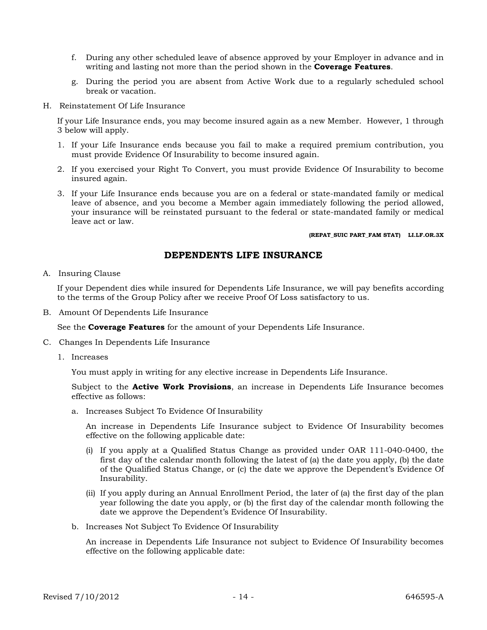- f. During any other scheduled leave of absence approved by your Employer in advance and in writing and lasting not more than the period shown in the **Coverage Features**.
- g. During the period you are absent from Active Work due to a regularly scheduled school break or vacation.
- H. Reinstatement Of Life Insurance

If your Life Insurance ends, you may become insured again as a new Member. However, 1 through 3 below will apply.

- 1. If your Life Insurance ends because you fail to make a required premium contribution, you must provide Evidence Of Insurability to become insured again.
- 2. If you exercised your Right To Convert, you must provide Evidence Of Insurability to become insured again.
- 3. If your Life Insurance ends because you are on a federal or state-mandated family or medical leave of absence, and you become a Member again immediately following the period allowed, your insurance will be reinstated pursuant to the federal or state-mandated family or medical leave act or law.

#### **(REPAT\_SUIC PART\_FAM STAT) LI.LF.OR.3X**

### **DEPENDENTS LIFE INSURANCE**

A. Insuring Clause

If your Dependent dies while insured for Dependents Life Insurance, we will pay benefits according to the terms of the Group Policy after we receive Proof Of Loss satisfactory to us.

B. Amount Of Dependents Life Insurance

See the **Coverage Features** for the amount of your Dependents Life Insurance.

- C. Changes In Dependents Life Insurance
	- 1. Increases

You must apply in writing for any elective increase in Dependents Life Insurance.

Subject to the **Active Work Provisions**, an increase in Dependents Life Insurance becomes effective as follows:

a. Increases Subject To Evidence Of Insurability

An increase in Dependents Life Insurance subject to Evidence Of Insurability becomes effective on the following applicable date:

- (i) If you apply at a Qualified Status Change as provided under OAR 111-040-0400, the first day of the calendar month following the latest of (a) the date you apply, (b) the date of the Qualified Status Change, or (c) the date we approve the Dependent's Evidence Of Insurability.
- (ii) If you apply during an Annual Enrollment Period, the later of (a) the first day of the plan year following the date you apply, or (b) the first day of the calendar month following the date we approve the Dependent's Evidence Of Insurability.
- b. Increases Not Subject To Evidence Of Insurability

An increase in Dependents Life Insurance not subject to Evidence Of Insurability becomes effective on the following applicable date: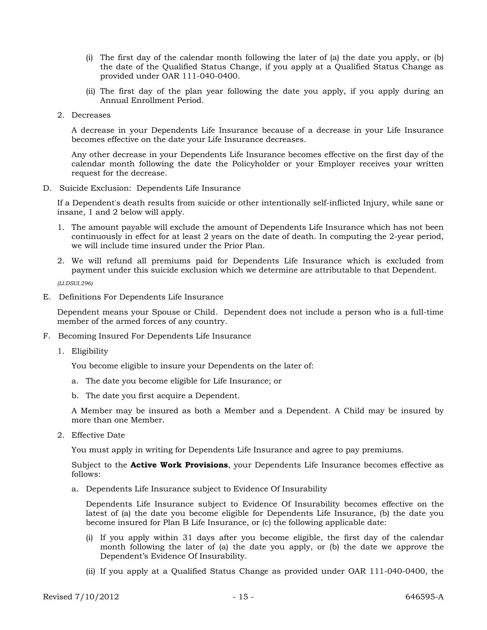- (i) The first day of the calendar month following the later of (a) the date you apply, or (b) the date of the Qualified Status Change, if you apply at a Qualified Status Change as provided under OAR 111-040-0400.
- (ii) The first day of the plan year following the date you apply, if you apply during an Annual Enrollment Period.
- 2. Decreases

A decrease in your Dependents Life Insurance because of a decrease in your Life Insurance becomes effective on the date your Life Insurance decreases.

Any other decrease in your Dependents Life Insurance becomes effective on the first day of the calendar month following the date the Policyholder or your Employer receives your written request for the decrease.

D. Suicide Exclusion: Dependents Life Insurance

If a Dependent's death results from suicide or other intentionally self-inflicted Injury, while sane or insane, 1 and 2 below will apply.

- 1. The amount payable will exclude the amount of Dependents Life Insurance which has not been continuously in effect for at least 2 years on the date of death. In computing the 2-year period, we will include time insured under the Prior Plan.
- 2. We will refund all premiums paid for Dependents Life Insurance which is excluded from payment under this suicide exclusion which we determine are attributable to that Dependent.

*(LI.DSUI.296)*

E. Definitions For Dependents Life Insurance

Dependent means your Spouse or Child. Dependent does not include a person who is a full-time member of the armed forces of any country.

- F. Becoming Insured For Dependents Life Insurance
	- 1. Eligibility

You become eligible to insure your Dependents on the later of:

- a. The date you become eligible for Life Insurance; or
- b. The date you first acquire a Dependent.

A Member may be insured as both a Member and a Dependent. A Child may be insured by more than one Member.

2. Effective Date

You must apply in writing for Dependents Life Insurance and agree to pay premiums.

Subject to the **Active Work Provisions**, your Dependents Life Insurance becomes effective as follows:

a. Dependents Life Insurance subject to Evidence Of Insurability

Dependents Life Insurance subject to Evidence Of Insurability becomes effective on the latest of (a) the date you become eligible for Dependents Life Insurance, (b) the date you become insured for Plan B Life Insurance, or (c) the following applicable date:

- (i) If you apply within 31 days after you become eligible, the first day of the calendar month following the later of (a) the date you apply, or (b) the date we approve the Dependent's Evidence Of Insurability.
- (ii) If you apply at a Qualified Status Change as provided under OAR 111-040-0400, the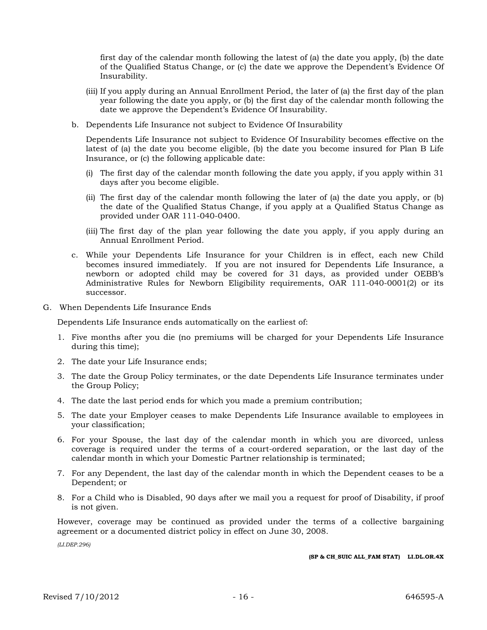first day of the calendar month following the latest of (a) the date you apply, (b) the date of the Qualified Status Change, or (c) the date we approve the Dependent's Evidence Of Insurability.

- (iii) If you apply during an Annual Enrollment Period, the later of (a) the first day of the plan year following the date you apply, or (b) the first day of the calendar month following the date we approve the Dependent's Evidence Of Insurability.
- b. Dependents Life Insurance not subject to Evidence Of Insurability

Dependents Life Insurance not subject to Evidence Of Insurability becomes effective on the latest of (a) the date you become eligible, (b) the date you become insured for Plan B Life Insurance, or (c) the following applicable date:

- (i) The first day of the calendar month following the date you apply, if you apply within 31 days after you become eligible.
- (ii) The first day of the calendar month following the later of (a) the date you apply, or (b) the date of the Qualified Status Change, if you apply at a Qualified Status Change as provided under OAR 111-040-0400.
- (iii) The first day of the plan year following the date you apply, if you apply during an Annual Enrollment Period.
- c. While your Dependents Life Insurance for your Children is in effect, each new Child becomes insured immediately. If you are not insured for Dependents Life Insurance, a newborn or adopted child may be covered for 31 days, as provided under OEBB's Administrative Rules for Newborn Eligibility requirements, OAR 111-040-0001(2) or its successor.
- G. When Dependents Life Insurance Ends

Dependents Life Insurance ends automatically on the earliest of:

- 1. Five months after you die (no premiums will be charged for your Dependents Life Insurance during this time);
- 2. The date your Life Insurance ends;
- 3. The date the Group Policy terminates, or the date Dependents Life Insurance terminates under the Group Policy;
- 4. The date the last period ends for which you made a premium contribution;
- 5. The date your Employer ceases to make Dependents Life Insurance available to employees in your classification;
- 6. For your Spouse, the last day of the calendar month in which you are divorced, unless coverage is required under the terms of a court-ordered separation, or the last day of the calendar month in which your Domestic Partner relationship is terminated;
- 7. For any Dependent, the last day of the calendar month in which the Dependent ceases to be a Dependent; or
- 8. For a Child who is Disabled, 90 days after we mail you a request for proof of Disability, if proof is not given.

However, coverage may be continued as provided under the terms of a collective bargaining agreement or a documented district policy in effect on June 30, 2008.

*(LI.DEP.296)*

**(SP & CH\_SUIC ALL\_FAM STAT) LI.DL.OR.4X**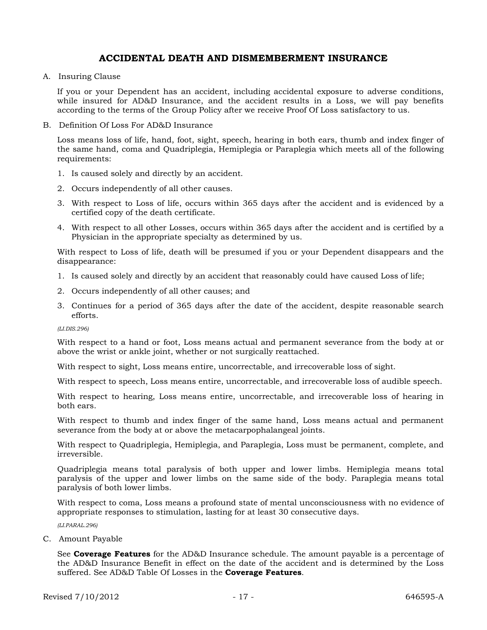### **ACCIDENTAL DEATH AND DISMEMBERMENT INSURANCE**

A. Insuring Clause

If you or your Dependent has an accident, including accidental exposure to adverse conditions, while insured for AD&D Insurance, and the accident results in a Loss, we will pay benefits according to the terms of the Group Policy after we receive Proof Of Loss satisfactory to us.

B. Definition Of Loss For AD&D Insurance

Loss means loss of life, hand, foot, sight, speech, hearing in both ears, thumb and index finger of the same hand, coma and Quadriplegia, Hemiplegia or Paraplegia which meets all of the following requirements:

- 1. Is caused solely and directly by an accident.
- 2. Occurs independently of all other causes.
- 3. With respect to Loss of life, occurs within 365 days after the accident and is evidenced by a certified copy of the death certificate.
- 4. With respect to all other Losses, occurs within 365 days after the accident and is certified by a Physician in the appropriate specialty as determined by us.

With respect to Loss of life, death will be presumed if you or your Dependent disappears and the disappearance:

- 1. Is caused solely and directly by an accident that reasonably could have caused Loss of life;
- 2. Occurs independently of all other causes; and
- 3. Continues for a period of 365 days after the date of the accident, despite reasonable search efforts.

*(LI.DIS.296)*

With respect to a hand or foot, Loss means actual and permanent severance from the body at or above the wrist or ankle joint, whether or not surgically reattached.

With respect to sight, Loss means entire, uncorrectable, and irrecoverable loss of sight.

With respect to speech, Loss means entire, uncorrectable, and irrecoverable loss of audible speech.

With respect to hearing, Loss means entire, uncorrectable, and irrecoverable loss of hearing in both ears.

With respect to thumb and index finger of the same hand, Loss means actual and permanent severance from the body at or above the metacarpophalangeal joints.

With respect to Quadriplegia, Hemiplegia, and Paraplegia, Loss must be permanent, complete, and irreversible.

Quadriplegia means total paralysis of both upper and lower limbs. Hemiplegia means total paralysis of the upper and lower limbs on the same side of the body. Paraplegia means total paralysis of both lower limbs.

With respect to coma, Loss means a profound state of mental unconsciousness with no evidence of appropriate responses to stimulation, lasting for at least 30 consecutive days.

*(LI.PARAL.296)*

C. Amount Payable

See **Coverage Features** for the AD&D Insurance schedule. The amount payable is a percentage of the AD&D Insurance Benefit in effect on the date of the accident and is determined by the Loss suffered. See AD&D Table Of Losses in the **Coverage Features**.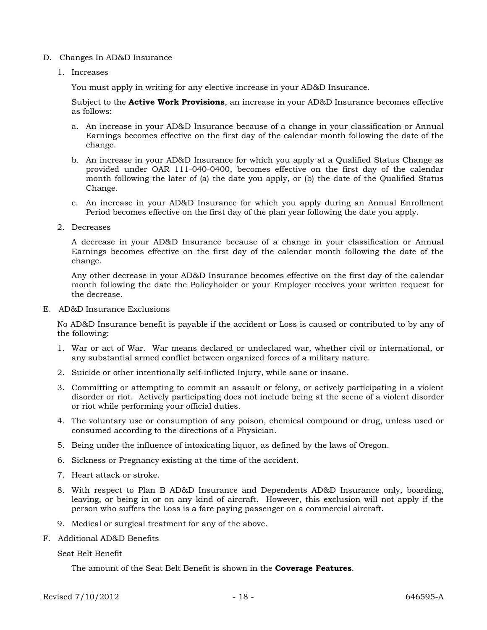#### D. Changes In AD&D Insurance

1. Increases

You must apply in writing for any elective increase in your AD&D Insurance.

Subject to the **Active Work Provisions**, an increase in your AD&D Insurance becomes effective as follows:

- a. An increase in your AD&D Insurance because of a change in your classification or Annual Earnings becomes effective on the first day of the calendar month following the date of the change.
- b. An increase in your AD&D Insurance for which you apply at a Qualified Status Change as provided under OAR 111-040-0400, becomes effective on the first day of the calendar month following the later of (a) the date you apply, or (b) the date of the Qualified Status Change.
- c. An increase in your AD&D Insurance for which you apply during an Annual Enrollment Period becomes effective on the first day of the plan year following the date you apply.
- 2. Decreases

A decrease in your AD&D Insurance because of a change in your classification or Annual Earnings becomes effective on the first day of the calendar month following the date of the change.

Any other decrease in your AD&D Insurance becomes effective on the first day of the calendar month following the date the Policyholder or your Employer receives your written request for the decrease.

E. AD&D Insurance Exclusions

No AD&D Insurance benefit is payable if the accident or Loss is caused or contributed to by any of the following:

- 1. War or act of War. War means declared or undeclared war, whether civil or international, or any substantial armed conflict between organized forces of a military nature.
- 2. Suicide or other intentionally self-inflicted Injury, while sane or insane.
- 3. Committing or attempting to commit an assault or felony, or actively participating in a violent disorder or riot. Actively participating does not include being at the scene of a violent disorder or riot while performing your official duties.
- 4. The voluntary use or consumption of any poison, chemical compound or drug, unless used or consumed according to the directions of a Physician.
- 5. Being under the influence of intoxicating liquor, as defined by the laws of Oregon.
- 6. Sickness or Pregnancy existing at the time of the accident.
- 7. Heart attack or stroke.
- 8. With respect to Plan B AD&D Insurance and Dependents AD&D Insurance only, boarding, leaving, or being in or on any kind of aircraft. However, this exclusion will not apply if the person who suffers the Loss is a fare paying passenger on a commercial aircraft.
- 9. Medical or surgical treatment for any of the above.
- F. Additional AD&D Benefits

#### Seat Belt Benefit

The amount of the Seat Belt Benefit is shown in the **Coverage Features**.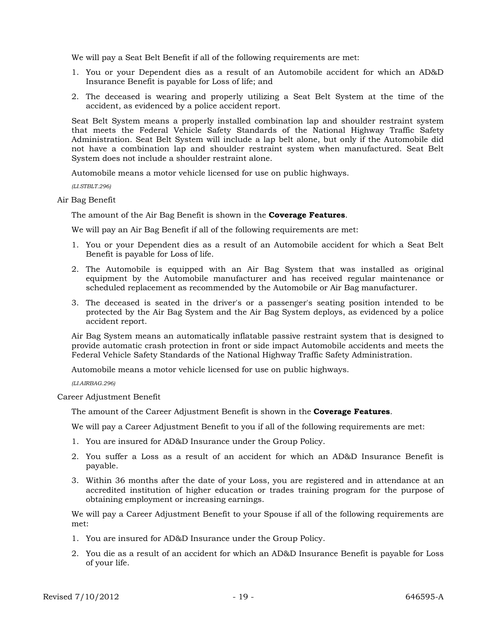We will pay a Seat Belt Benefit if all of the following requirements are met:

- 1. You or your Dependent dies as a result of an Automobile accident for which an AD&D Insurance Benefit is payable for Loss of life; and
- 2. The deceased is wearing and properly utilizing a Seat Belt System at the time of the accident, as evidenced by a police accident report.

Seat Belt System means a properly installed combination lap and shoulder restraint system that meets the Federal Vehicle Safety Standards of the National Highway Traffic Safety Administration. Seat Belt System will include a lap belt alone, but only if the Automobile did not have a combination lap and shoulder restraint system when manufactured. Seat Belt System does not include a shoulder restraint alone.

Automobile means a motor vehicle licensed for use on public highways.

*(LI.STBLT.296)*

Air Bag Benefit

The amount of the Air Bag Benefit is shown in the **Coverage Features**.

We will pay an Air Bag Benefit if all of the following requirements are met:

- 1. You or your Dependent dies as a result of an Automobile accident for which a Seat Belt Benefit is payable for Loss of life.
- 2. The Automobile is equipped with an Air Bag System that was installed as original equipment by the Automobile manufacturer and has received regular maintenance or scheduled replacement as recommended by the Automobile or Air Bag manufacturer.
- 3. The deceased is seated in the driver's or a passenger's seating position intended to be protected by the Air Bag System and the Air Bag System deploys, as evidenced by a police accident report.

Air Bag System means an automatically inflatable passive restraint system that is designed to provide automatic crash protection in front or side impact Automobile accidents and meets the Federal Vehicle Safety Standards of the National Highway Traffic Safety Administration.

Automobile means a motor vehicle licensed for use on public highways.

*(LI.AIRBAG.296)*

Career Adjustment Benefit

The amount of the Career Adjustment Benefit is shown in the **Coverage Features**.

We will pay a Career Adjustment Benefit to you if all of the following requirements are met:

- 1. You are insured for AD&D Insurance under the Group Policy.
- 2. You suffer a Loss as a result of an accident for which an AD&D Insurance Benefit is payable.
- 3. Within 36 months after the date of your Loss, you are registered and in attendance at an accredited institution of higher education or trades training program for the purpose of obtaining employment or increasing earnings.

We will pay a Career Adjustment Benefit to your Spouse if all of the following requirements are met:

- 1. You are insured for AD&D Insurance under the Group Policy.
- 2. You die as a result of an accident for which an AD&D Insurance Benefit is payable for Loss of your life.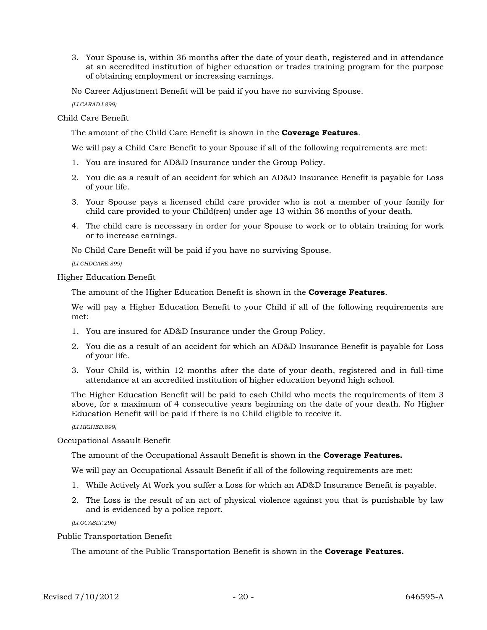3. Your Spouse is, within 36 months after the date of your death, registered and in attendance at an accredited institution of higher education or trades training program for the purpose of obtaining employment or increasing earnings.

No Career Adjustment Benefit will be paid if you have no surviving Spouse.

*(LI.CARADJ.899)*

Child Care Benefit

The amount of the Child Care Benefit is shown in the **Coverage Features**.

We will pay a Child Care Benefit to your Spouse if all of the following requirements are met:

- 1. You are insured for AD&D Insurance under the Group Policy.
- 2. You die as a result of an accident for which an AD&D Insurance Benefit is payable for Loss of your life.
- 3. Your Spouse pays a licensed child care provider who is not a member of your family for child care provided to your Child(ren) under age 13 within 36 months of your death.
- 4. The child care is necessary in order for your Spouse to work or to obtain training for work or to increase earnings.

No Child Care Benefit will be paid if you have no surviving Spouse.

*(LI.CHDCARE.899)*

Higher Education Benefit

The amount of the Higher Education Benefit is shown in the **Coverage Features**.

We will pay a Higher Education Benefit to your Child if all of the following requirements are met:

- 1. You are insured for AD&D Insurance under the Group Policy.
- 2. You die as a result of an accident for which an AD&D Insurance Benefit is payable for Loss of your life.
- 3. Your Child is, within 12 months after the date of your death, registered and in full-time attendance at an accredited institution of higher education beyond high school.

The Higher Education Benefit will be paid to each Child who meets the requirements of item 3 above, for a maximum of 4 consecutive years beginning on the date of your death. No Higher Education Benefit will be paid if there is no Child eligible to receive it.

*(LI.HIGHED.899)*

Occupational Assault Benefit

The amount of the Occupational Assault Benefit is shown in the **Coverage Features.** 

We will pay an Occupational Assault Benefit if all of the following requirements are met:

- 1. While Actively At Work you suffer a Loss for which an AD&D Insurance Benefit is payable.
- 2. The Loss is the result of an act of physical violence against you that is punishable by law and is evidenced by a police report.

*(LI.OCASLT.296)*

Public Transportation Benefit

The amount of the Public Transportation Benefit is shown in the **Coverage Features.**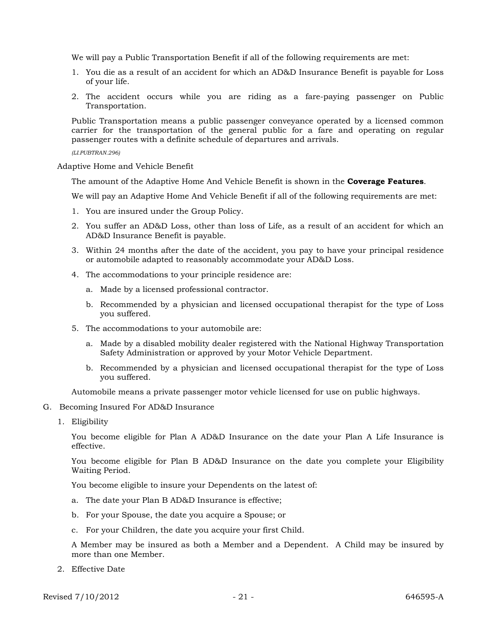We will pay a Public Transportation Benefit if all of the following requirements are met:

- 1. You die as a result of an accident for which an AD&D Insurance Benefit is payable for Loss of your life.
- 2. The accident occurs while you are riding as a fare-paying passenger on Public Transportation.

Public Transportation means a public passenger conveyance operated by a licensed common carrier for the transportation of the general public for a fare and operating on regular passenger routes with a definite schedule of departures and arrivals.

*(LI.PUBTRAN.296)*

Adaptive Home and Vehicle Benefit

The amount of the Adaptive Home And Vehicle Benefit is shown in the **Coverage Features**.

We will pay an Adaptive Home And Vehicle Benefit if all of the following requirements are met:

- 1. You are insured under the Group Policy.
- 2. You suffer an AD&D Loss, other than loss of Life, as a result of an accident for which an AD&D Insurance Benefit is payable.
- 3. Within 24 months after the date of the accident, you pay to have your principal residence or automobile adapted to reasonably accommodate your AD&D Loss.
- 4. The accommodations to your principle residence are:
	- a. Made by a licensed professional contractor.
	- b. Recommended by a physician and licensed occupational therapist for the type of Loss you suffered.
- 5. The accommodations to your automobile are:
	- a. Made by a disabled mobility dealer registered with the National Highway Transportation Safety Administration or approved by your Motor Vehicle Department.
	- b. Recommended by a physician and licensed occupational therapist for the type of Loss you suffered.

Automobile means a private passenger motor vehicle licensed for use on public highways.

- G. Becoming Insured For AD&D Insurance
	- 1. Eligibility

You become eligible for Plan A AD&D Insurance on the date your Plan A Life Insurance is effective.

You become eligible for Plan B AD&D Insurance on the date you complete your Eligibility Waiting Period.

You become eligible to insure your Dependents on the latest of:

- a. The date your Plan B AD&D Insurance is effective;
- b. For your Spouse, the date you acquire a Spouse; or
- c. For your Children, the date you acquire your first Child.

A Member may be insured as both a Member and a Dependent. A Child may be insured by more than one Member.

2. Effective Date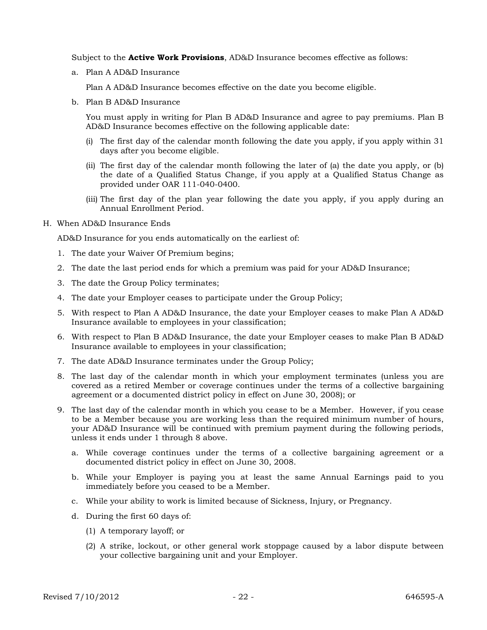Subject to the **Active Work Provisions**, AD&D Insurance becomes effective as follows:

a. Plan A AD&D Insurance

Plan A AD&D Insurance becomes effective on the date you become eligible.

b. Plan B AD&D Insurance

You must apply in writing for Plan B AD&D Insurance and agree to pay premiums. Plan B AD&D Insurance becomes effective on the following applicable date:

- (i) The first day of the calendar month following the date you apply, if you apply within 31 days after you become eligible.
- (ii) The first day of the calendar month following the later of (a) the date you apply, or (b) the date of a Qualified Status Change, if you apply at a Qualified Status Change as provided under OAR 111-040-0400.
- (iii) The first day of the plan year following the date you apply, if you apply during an Annual Enrollment Period.
- H. When AD&D Insurance Ends

AD&D Insurance for you ends automatically on the earliest of:

- 1. The date your Waiver Of Premium begins;
- 2. The date the last period ends for which a premium was paid for your AD&D Insurance;
- 3. The date the Group Policy terminates;
- 4. The date your Employer ceases to participate under the Group Policy;
- 5. With respect to Plan A AD&D Insurance, the date your Employer ceases to make Plan A AD&D Insurance available to employees in your classification;
- 6. With respect to Plan B AD&D Insurance, the date your Employer ceases to make Plan B AD&D Insurance available to employees in your classification;
- 7. The date AD&D Insurance terminates under the Group Policy;
- 8. The last day of the calendar month in which your employment terminates (unless you are covered as a retired Member or coverage continues under the terms of a collective bargaining agreement or a documented district policy in effect on June 30, 2008); or
- 9. The last day of the calendar month in which you cease to be a Member. However, if you cease to be a Member because you are working less than the required minimum number of hours, your AD&D Insurance will be continued with premium payment during the following periods, unless it ends under 1 through 8 above.
	- a. While coverage continues under the terms of a collective bargaining agreement or a documented district policy in effect on June 30, 2008.
	- b. While your Employer is paying you at least the same Annual Earnings paid to you immediately before you ceased to be a Member.
	- c. While your ability to work is limited because of Sickness, Injury, or Pregnancy.
	- d. During the first 60 days of:
		- (1) A temporary layoff; or
		- (2) A strike, lockout, or other general work stoppage caused by a labor dispute between your collective bargaining unit and your Employer.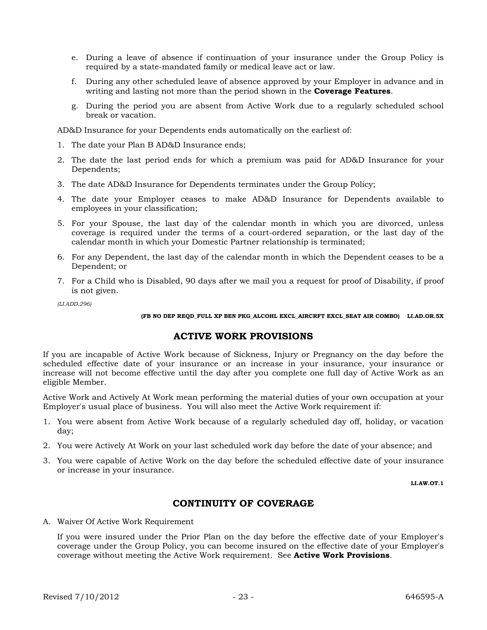- e. During a leave of absence if continuation of your insurance under the Group Policy is required by a state-mandated family or medical leave act or law.
- f. During any other scheduled leave of absence approved by your Employer in advance and in writing and lasting not more than the period shown in the **Coverage Features**.
- g. During the period you are absent from Active Work due to a regularly scheduled school break or vacation.

AD&D Insurance for your Dependents ends automatically on the earliest of:

- 1. The date your Plan B AD&D Insurance ends;
- 2. The date the last period ends for which a premium was paid for AD&D Insurance for your Dependents;
- 3. The date AD&D Insurance for Dependents terminates under the Group Policy;
- 4. The date your Employer ceases to make AD&D Insurance for Dependents available to employees in your classification;
- 5. For your Spouse, the last day of the calendar month in which you are divorced, unless coverage is required under the terms of a court-ordered separation, or the last day of the calendar month in which your Domestic Partner relationship is terminated;
- 6. For any Dependent, the last day of the calendar month in which the Dependent ceases to be a Dependent; or
- 7. For a Child who is Disabled, 90 days after we mail you a request for proof of Disability, if proof is not given.

*(LI.ADD.296)*

#### **(FB NO DEP REQD\_FULL XP BEN PKG\_ALCOHL EXCL\_AIRCRFT EXCL\_SEAT AIR COMBO) LI.AD.OR.5X**

### **ACTIVE WORK PROVISIONS**

If you are incapable of Active Work because of Sickness, Injury or Pregnancy on the day before the scheduled effective date of your insurance or an increase in your insurance, your insurance or increase will not become effective until the day after you complete one full day of Active Work as an eligible Member.

Active Work and Actively At Work mean performing the material duties of your own occupation at your Employer's usual place of business. You will also meet the Active Work requirement if:

- 1. You were absent from Active Work because of a regularly scheduled day off, holiday, or vacation day;
- 2. You were Actively At Work on your last scheduled work day before the date of your absence; and
- 3. You were capable of Active Work on the day before the scheduled effective date of your insurance or increase in your insurance.

**LI.AW.OT.1**

### **CONTINUITY OF COVERAGE**

A. Waiver Of Active Work Requirement

If you were insured under the Prior Plan on the day before the effective date of your Employer's coverage under the Group Policy, you can become insured on the effective date of your Employer's coverage without meeting the Active Work requirement. See **Active Work Provisions**.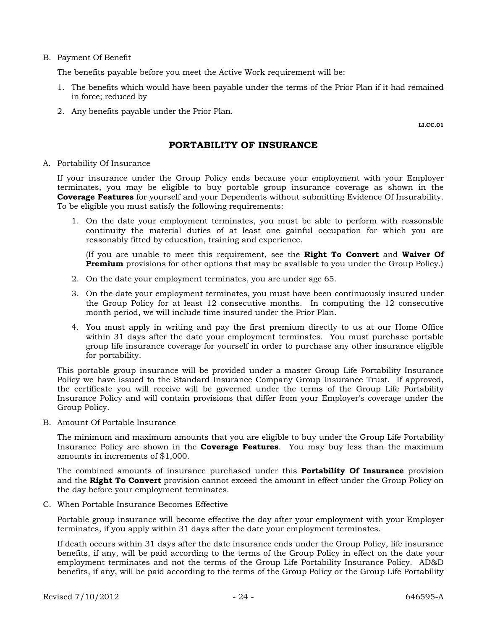#### B. Payment Of Benefit

The benefits payable before you meet the Active Work requirement will be:

- 1. The benefits which would have been payable under the terms of the Prior Plan if it had remained in force; reduced by
- 2. Any benefits payable under the Prior Plan.

**LI.CC.01** 

### **PORTABILITY OF INSURANCE**

#### A. Portability Of Insurance

If your insurance under the Group Policy ends because your employment with your Employer terminates, you may be eligible to buy portable group insurance coverage as shown in the **Coverage Features** for yourself and your Dependents without submitting Evidence Of Insurability. To be eligible you must satisfy the following requirements:

1. On the date your employment terminates, you must be able to perform with reasonable continuity the material duties of at least one gainful occupation for which you are reasonably fitted by education, training and experience.

(If you are unable to meet this requirement, see the **Right To Convert** and **Waiver Of Premium** provisions for other options that may be available to you under the Group Policy.)

- 2. On the date your employment terminates, you are under age 65.
- 3. On the date your employment terminates, you must have been continuously insured under the Group Policy for at least 12 consecutive months. In computing the 12 consecutive month period, we will include time insured under the Prior Plan.
- 4. You must apply in writing and pay the first premium directly to us at our Home Office within 31 days after the date your employment terminates. You must purchase portable group life insurance coverage for yourself in order to purchase any other insurance eligible for portability.

This portable group insurance will be provided under a master Group Life Portability Insurance Policy we have issued to the Standard Insurance Company Group Insurance Trust. If approved, the certificate you will receive will be governed under the terms of the Group Life Portability Insurance Policy and will contain provisions that differ from your Employer's coverage under the Group Policy.

B. Amount Of Portable Insurance

The minimum and maximum amounts that you are eligible to buy under the Group Life Portability Insurance Policy are shown in the **Coverage Features**. You may buy less than the maximum amounts in increments of \$1,000.

The combined amounts of insurance purchased under this **Portability Of Insurance** provision and the **Right To Convert** provision cannot exceed the amount in effect under the Group Policy on the day before your employment terminates.

C. When Portable Insurance Becomes Effective

Portable group insurance will become effective the day after your employment with your Employer terminates, if you apply within 31 days after the date your employment terminates.

If death occurs within 31 days after the date insurance ends under the Group Policy, life insurance benefits, if any, will be paid according to the terms of the Group Policy in effect on the date your employment terminates and not the terms of the Group Life Portability Insurance Policy. AD&D benefits, if any, will be paid according to the terms of the Group Policy or the Group Life Portability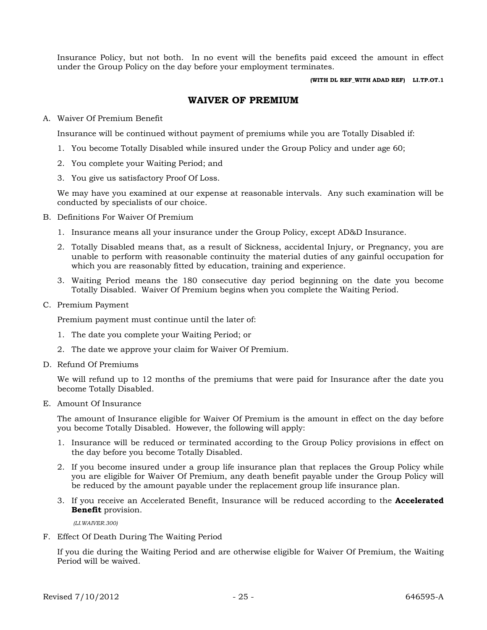Insurance Policy, but not both. In no event will the benefits paid exceed the amount in effect under the Group Policy on the day before your employment terminates.

**(WITH DL REF\_WITH ADAD REF) LI.TP.OT.1**

### **WAIVER OF PREMIUM**

### A. Waiver Of Premium Benefit

Insurance will be continued without payment of premiums while you are Totally Disabled if:

- 1. You become Totally Disabled while insured under the Group Policy and under age 60;
- 2. You complete your Waiting Period; and
- 3. You give us satisfactory Proof Of Loss.

We may have you examined at our expense at reasonable intervals. Any such examination will be conducted by specialists of our choice.

- B. Definitions For Waiver Of Premium
	- 1. Insurance means all your insurance under the Group Policy, except AD&D Insurance.
	- 2. Totally Disabled means that, as a result of Sickness, accidental Injury, or Pregnancy, you are unable to perform with reasonable continuity the material duties of any gainful occupation for which you are reasonably fitted by education, training and experience.
	- 3. Waiting Period means the 180 consecutive day period beginning on the date you become Totally Disabled. Waiver Of Premium begins when you complete the Waiting Period.
- C. Premium Payment

Premium payment must continue until the later of:

- 1. The date you complete your Waiting Period; or
- 2. The date we approve your claim for Waiver Of Premium.
- D. Refund Of Premiums

We will refund up to 12 months of the premiums that were paid for Insurance after the date you become Totally Disabled.

E. Amount Of Insurance

The amount of Insurance eligible for Waiver Of Premium is the amount in effect on the day before you become Totally Disabled. However, the following will apply:

- 1. Insurance will be reduced or terminated according to the Group Policy provisions in effect on the day before you become Totally Disabled.
- 2. If you become insured under a group life insurance plan that replaces the Group Policy while you are eligible for Waiver Of Premium, any death benefit payable under the Group Policy will be reduced by the amount payable under the replacement group life insurance plan.
- 3. If you receive an Accelerated Benefit, Insurance will be reduced according to the **Accelerated Benefit** provision.

 *(LI.WAIVER.300)*

F. Effect Of Death During The Waiting Period

If you die during the Waiting Period and are otherwise eligible for Waiver Of Premium, the Waiting Period will be waived.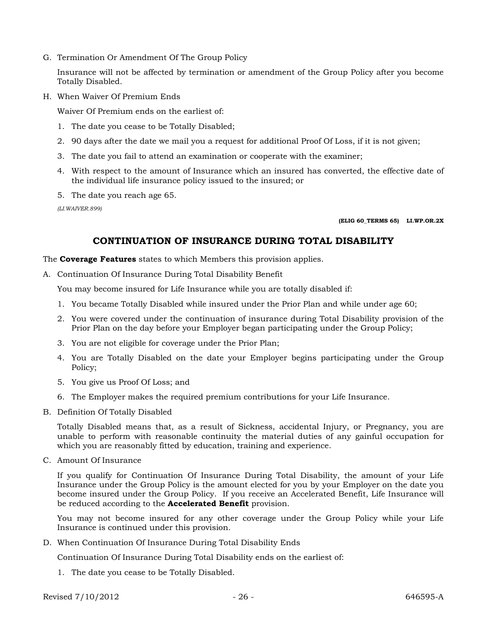G. Termination Or Amendment Of The Group Policy

Insurance will not be affected by termination or amendment of the Group Policy after you become Totally Disabled.

H. When Waiver Of Premium Ends

Waiver Of Premium ends on the earliest of:

- 1. The date you cease to be Totally Disabled;
- 2. 90 days after the date we mail you a request for additional Proof Of Loss, if it is not given;
- 3. The date you fail to attend an examination or cooperate with the examiner;
- 4. With respect to the amount of Insurance which an insured has converted, the effective date of the individual life insurance policy issued to the insured; or
- 5. The date you reach age 65.

*(LI.WAIVER.899)*

**(ELIG 60\_TERMS 65) LI.WP.OR.2X**

### **CONTINUATION OF INSURANCE DURING TOTAL DISABILITY**

The **Coverage Features** states to which Members this provision applies.

A. Continuation Of Insurance During Total Disability Benefit

You may become insured for Life Insurance while you are totally disabled if:

- 1. You became Totally Disabled while insured under the Prior Plan and while under age 60;
- 2. You were covered under the continuation of insurance during Total Disability provision of the Prior Plan on the day before your Employer began participating under the Group Policy;
- 3. You are not eligible for coverage under the Prior Plan;
- 4. You are Totally Disabled on the date your Employer begins participating under the Group Policy;
- 5. You give us Proof Of Loss; and
- 6. The Employer makes the required premium contributions for your Life Insurance.
- B. Definition Of Totally Disabled

Totally Disabled means that, as a result of Sickness, accidental Injury, or Pregnancy, you are unable to perform with reasonable continuity the material duties of any gainful occupation for which you are reasonably fitted by education, training and experience.

C. Amount Of Insurance

If you qualify for Continuation Of Insurance During Total Disability, the amount of your Life Insurance under the Group Policy is the amount elected for you by your Employer on the date you become insured under the Group Policy. If you receive an Accelerated Benefit, Life Insurance will be reduced according to the **Accelerated Benefit** provision.

You may not become insured for any other coverage under the Group Policy while your Life Insurance is continued under this provision.

D. When Continuation Of Insurance During Total Disability Ends

Continuation Of Insurance During Total Disability ends on the earliest of:

1. The date you cease to be Totally Disabled.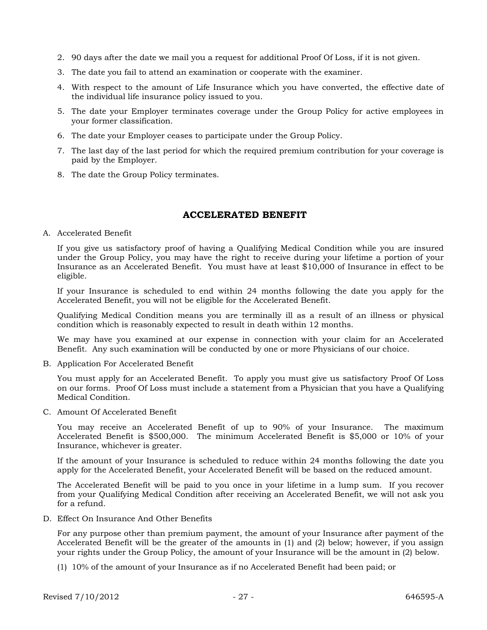- 2. 90 days after the date we mail you a request for additional Proof Of Loss, if it is not given.
- 3. The date you fail to attend an examination or cooperate with the examiner.
- 4. With respect to the amount of Life Insurance which you have converted, the effective date of the individual life insurance policy issued to you.
- 5. The date your Employer terminates coverage under the Group Policy for active employees in your former classification.
- 6. The date your Employer ceases to participate under the Group Policy.
- 7. The last day of the last period for which the required premium contribution for your coverage is paid by the Employer.
- 8. The date the Group Policy terminates.

### **ACCELERATED BENEFIT**

A. Accelerated Benefit

If you give us satisfactory proof of having a Qualifying Medical Condition while you are insured under the Group Policy, you may have the right to receive during your lifetime a portion of your Insurance as an Accelerated Benefit. You must have at least \$10,000 of Insurance in effect to be eligible.

If your Insurance is scheduled to end within 24 months following the date you apply for the Accelerated Benefit, you will not be eligible for the Accelerated Benefit.

Qualifying Medical Condition means you are terminally ill as a result of an illness or physical condition which is reasonably expected to result in death within 12 months.

We may have you examined at our expense in connection with your claim for an Accelerated Benefit. Any such examination will be conducted by one or more Physicians of our choice.

B. Application For Accelerated Benefit

You must apply for an Accelerated Benefit. To apply you must give us satisfactory Proof Of Loss on our forms. Proof Of Loss must include a statement from a Physician that you have a Qualifying Medical Condition.

C. Amount Of Accelerated Benefit

You may receive an Accelerated Benefit of up to 90% of your Insurance. The maximum Accelerated Benefit is \$500,000. The minimum Accelerated Benefit is \$5,000 or 10% of your Insurance, whichever is greater.

If the amount of your Insurance is scheduled to reduce within 24 months following the date you apply for the Accelerated Benefit, your Accelerated Benefit will be based on the reduced amount.

The Accelerated Benefit will be paid to you once in your lifetime in a lump sum. If you recover from your Qualifying Medical Condition after receiving an Accelerated Benefit, we will not ask you for a refund.

D. Effect On Insurance And Other Benefits

For any purpose other than premium payment, the amount of your Insurance after payment of the Accelerated Benefit will be the greater of the amounts in (1) and (2) below; however, if you assign your rights under the Group Policy, the amount of your Insurance will be the amount in (2) below.

(1) 10% of the amount of your Insurance as if no Accelerated Benefit had been paid; or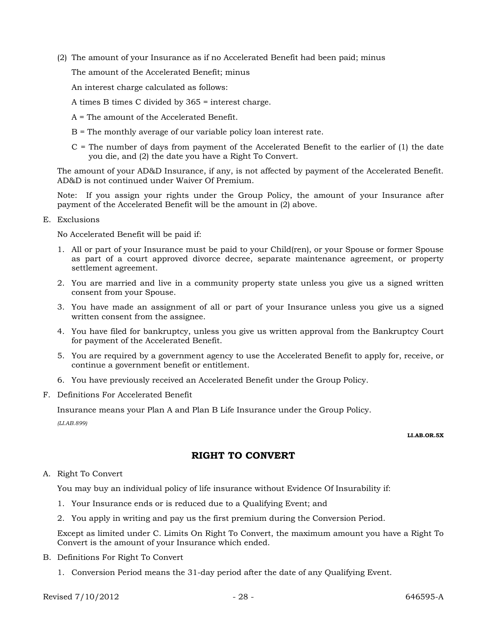(2) The amount of your Insurance as if no Accelerated Benefit had been paid; minus

The amount of the Accelerated Benefit; minus

An interest charge calculated as follows:

- A times B times C divided by 365 = interest charge.
- A = The amount of the Accelerated Benefit.
- B = The monthly average of our variable policy loan interest rate.
- $C =$  The number of days from payment of the Accelerated Benefit to the earlier of (1) the date you die, and (2) the date you have a Right To Convert.

The amount of your AD&D Insurance, if any, is not affected by payment of the Accelerated Benefit. AD&D is not continued under Waiver Of Premium.

Note: If you assign your rights under the Group Policy, the amount of your Insurance after payment of the Accelerated Benefit will be the amount in (2) above.

E. Exclusions

No Accelerated Benefit will be paid if:

- 1. All or part of your Insurance must be paid to your Child(ren), or your Spouse or former Spouse as part of a court approved divorce decree, separate maintenance agreement, or property settlement agreement.
- 2. You are married and live in a community property state unless you give us a signed written consent from your Spouse.
- 3. You have made an assignment of all or part of your Insurance unless you give us a signed written consent from the assignee.
- 4. You have filed for bankruptcy, unless you give us written approval from the Bankruptcy Court for payment of the Accelerated Benefit.
- 5. You are required by a government agency to use the Accelerated Benefit to apply for, receive, or continue a government benefit or entitlement.
- 6. You have previously received an Accelerated Benefit under the Group Policy.
- F. Definitions For Accelerated Benefit

Insurance means your Plan A and Plan B Life Insurance under the Group Policy.

*(LI.AB.899)*

#### **LI.AB.OR.5X**

### **RIGHT TO CONVERT**

### A. Right To Convert

You may buy an individual policy of life insurance without Evidence Of Insurability if:

- 1. Your Insurance ends or is reduced due to a Qualifying Event; and
- 2. You apply in writing and pay us the first premium during the Conversion Period.

Except as limited under C. Limits On Right To Convert, the maximum amount you have a Right To Convert is the amount of your Insurance which ended.

- B. Definitions For Right To Convert
	- 1. Conversion Period means the 31-day period after the date of any Qualifying Event.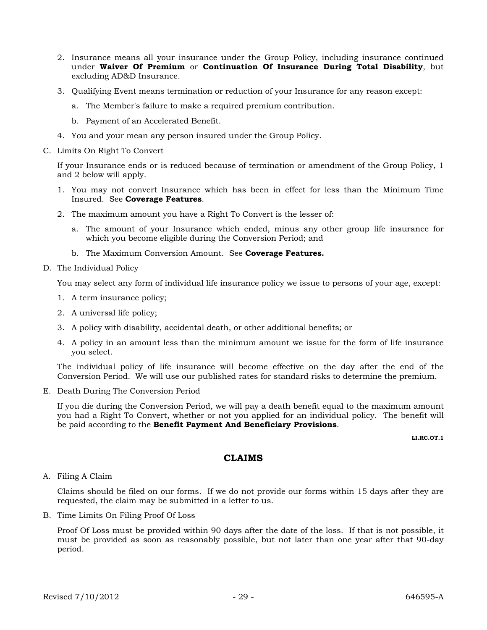- 2. Insurance means all your insurance under the Group Policy, including insurance continued under **Waiver Of Premium** or **Continuation Of Insurance During Total Disability**, but excluding AD&D Insurance.
- 3. Qualifying Event means termination or reduction of your Insurance for any reason except:
	- a. The Member's failure to make a required premium contribution.
	- b. Payment of an Accelerated Benefit.
- 4. You and your mean any person insured under the Group Policy.
- C. Limits On Right To Convert

If your Insurance ends or is reduced because of termination or amendment of the Group Policy, 1 and 2 below will apply.

- 1. You may not convert Insurance which has been in effect for less than the Minimum Time Insured. See **Coverage Features**.
- 2. The maximum amount you have a Right To Convert is the lesser of:
	- a. The amount of your Insurance which ended, minus any other group life insurance for which you become eligible during the Conversion Period; and
	- b. The Maximum Conversion Amount. See **Coverage Features.**
- D. The Individual Policy

You may select any form of individual life insurance policy we issue to persons of your age, except:

- 1. A term insurance policy;
- 2. A universal life policy;
- 3. A policy with disability, accidental death, or other additional benefits; or
- 4. A policy in an amount less than the minimum amount we issue for the form of life insurance you select.

The individual policy of life insurance will become effective on the day after the end of the Conversion Period. We will use our published rates for standard risks to determine the premium.

E. Death During The Conversion Period

If you die during the Conversion Period, we will pay a death benefit equal to the maximum amount you had a Right To Convert, whether or not you applied for an individual policy. The benefit will be paid according to the **Benefit Payment And Beneficiary Provisions**.

**LI.RC.OT.1**

### **CLAIMS**

A. Filing A Claim

Claims should be filed on our forms. If we do not provide our forms within 15 days after they are requested, the claim may be submitted in a letter to us.

B. Time Limits On Filing Proof Of Loss

Proof Of Loss must be provided within 90 days after the date of the loss. If that is not possible, it must be provided as soon as reasonably possible, but not later than one year after that 90-day period.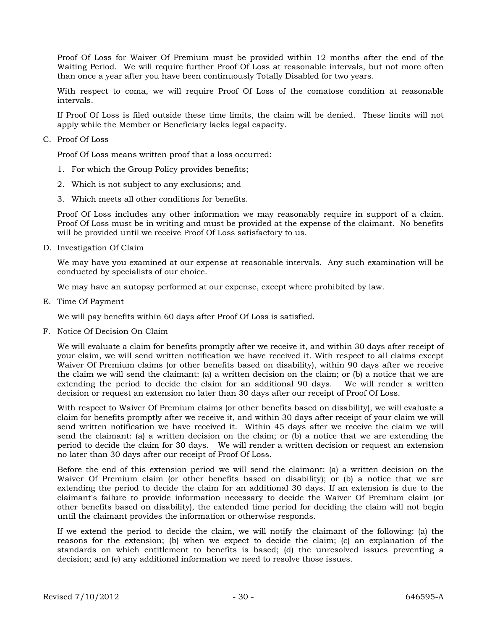Proof Of Loss for Waiver Of Premium must be provided within 12 months after the end of the Waiting Period. We will require further Proof Of Loss at reasonable intervals, but not more often than once a year after you have been continuously Totally Disabled for two years.

With respect to coma, we will require Proof Of Loss of the comatose condition at reasonable intervals.

If Proof Of Loss is filed outside these time limits, the claim will be denied. These limits will not apply while the Member or Beneficiary lacks legal capacity.

C. Proof Of Loss

Proof Of Loss means written proof that a loss occurred:

- 1. For which the Group Policy provides benefits;
- 2. Which is not subject to any exclusions; and
- 3. Which meets all other conditions for benefits.

Proof Of Loss includes any other information we may reasonably require in support of a claim. Proof Of Loss must be in writing and must be provided at the expense of the claimant. No benefits will be provided until we receive Proof Of Loss satisfactory to us.

D. Investigation Of Claim

We may have you examined at our expense at reasonable intervals. Any such examination will be conducted by specialists of our choice.

We may have an autopsy performed at our expense, except where prohibited by law.

E. Time Of Payment

We will pay benefits within 60 days after Proof Of Loss is satisfied.

F. Notice Of Decision On Claim

We will evaluate a claim for benefits promptly after we receive it, and within 30 days after receipt of your claim, we will send written notification we have received it. With respect to all claims except Waiver Of Premium claims (or other benefits based on disability), within 90 days after we receive the claim we will send the claimant: (a) a written decision on the claim; or (b) a notice that we are extending the period to decide the claim for an additional 90 days. We will render a written decision or request an extension no later than 30 days after our receipt of Proof Of Loss.

With respect to Waiver Of Premium claims (or other benefits based on disability), we will evaluate a claim for benefits promptly after we receive it, and within 30 days after receipt of your claim we will send written notification we have received it. Within 45 days after we receive the claim we will send the claimant: (a) a written decision on the claim; or (b) a notice that we are extending the period to decide the claim for 30 days. We will render a written decision or request an extension no later than 30 days after our receipt of Proof Of Loss.

Before the end of this extension period we will send the claimant: (a) a written decision on the Waiver Of Premium claim (or other benefits based on disability); or (b) a notice that we are extending the period to decide the claim for an additional 30 days. If an extension is due to the claimant's failure to provide information necessary to decide the Waiver Of Premium claim (or other benefits based on disability), the extended time period for deciding the claim will not begin until the claimant provides the information or otherwise responds.

If we extend the period to decide the claim, we will notify the claimant of the following: (a) the reasons for the extension; (b) when we expect to decide the claim; (c) an explanation of the standards on which entitlement to benefits is based; (d) the unresolved issues preventing a decision; and (e) any additional information we need to resolve those issues.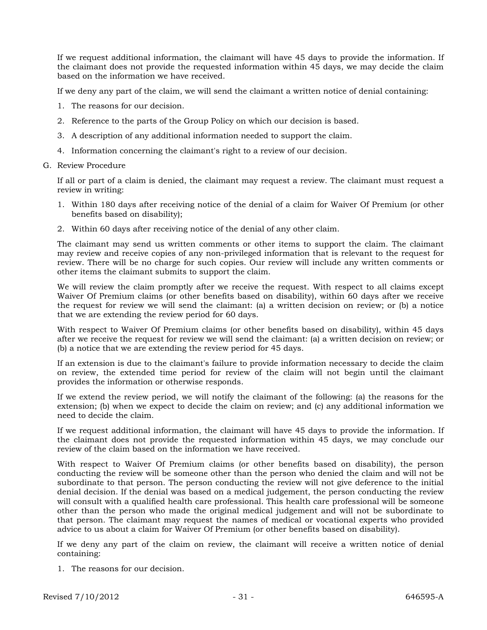If we request additional information, the claimant will have 45 days to provide the information. If the claimant does not provide the requested information within 45 days, we may decide the claim based on the information we have received.

If we deny any part of the claim, we will send the claimant a written notice of denial containing:

- 1. The reasons for our decision.
- 2. Reference to the parts of the Group Policy on which our decision is based.
- 3. A description of any additional information needed to support the claim.
- 4. Information concerning the claimant's right to a review of our decision.
- G. Review Procedure

If all or part of a claim is denied, the claimant may request a review. The claimant must request a review in writing:

- 1. Within 180 days after receiving notice of the denial of a claim for Waiver Of Premium (or other benefits based on disability);
- 2. Within 60 days after receiving notice of the denial of any other claim.

The claimant may send us written comments or other items to support the claim. The claimant may review and receive copies of any non-privileged information that is relevant to the request for review. There will be no charge for such copies. Our review will include any written comments or other items the claimant submits to support the claim.

We will review the claim promptly after we receive the request. With respect to all claims except Waiver Of Premium claims (or other benefits based on disability), within 60 days after we receive the request for review we will send the claimant: (a) a written decision on review; or (b) a notice that we are extending the review period for 60 days.

With respect to Waiver Of Premium claims (or other benefits based on disability), within 45 days after we receive the request for review we will send the claimant: (a) a written decision on review; or (b) a notice that we are extending the review period for 45 days.

If an extension is due to the claimant's failure to provide information necessary to decide the claim on review, the extended time period for review of the claim will not begin until the claimant provides the information or otherwise responds.

If we extend the review period, we will notify the claimant of the following: (a) the reasons for the extension; (b) when we expect to decide the claim on review; and (c) any additional information we need to decide the claim.

If we request additional information, the claimant will have 45 days to provide the information. If the claimant does not provide the requested information within 45 days, we may conclude our review of the claim based on the information we have received.

With respect to Waiver Of Premium claims (or other benefits based on disability), the person conducting the review will be someone other than the person who denied the claim and will not be subordinate to that person. The person conducting the review will not give deference to the initial denial decision. If the denial was based on a medical judgement, the person conducting the review will consult with a qualified health care professional. This health care professional will be someone other than the person who made the original medical judgement and will not be subordinate to that person. The claimant may request the names of medical or vocational experts who provided advice to us about a claim for Waiver Of Premium (or other benefits based on disability).

If we deny any part of the claim on review, the claimant will receive a written notice of denial containing:

1. The reasons for our decision.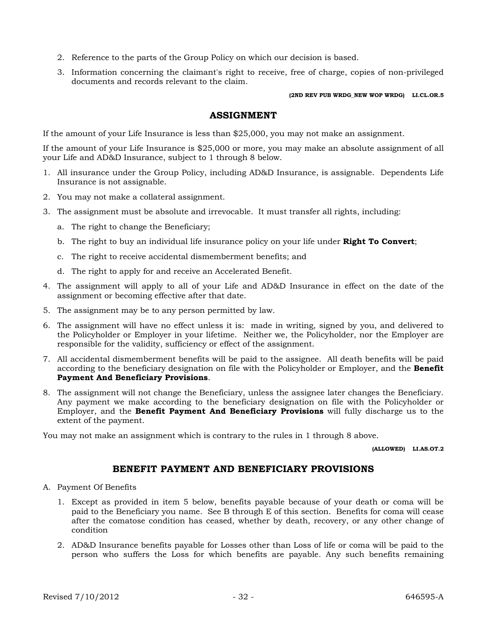- 2. Reference to the parts of the Group Policy on which our decision is based.
- 3. Information concerning the claimant's right to receive, free of charge, copies of non-privileged documents and records relevant to the claim.

**(2ND REV PUB WRDG\_NEW WOP WRDG) LI.CL.OR.5**

### **ASSIGNMENT**

If the amount of your Life Insurance is less than \$25,000, you may not make an assignment.

If the amount of your Life Insurance is \$25,000 or more, you may make an absolute assignment of all your Life and AD&D Insurance, subject to 1 through 8 below.

- 1. All insurance under the Group Policy, including AD&D Insurance, is assignable. Dependents Life Insurance is not assignable.
- 2. You may not make a collateral assignment.
- 3. The assignment must be absolute and irrevocable. It must transfer all rights, including:
	- a. The right to change the Beneficiary;
	- b. The right to buy an individual life insurance policy on your life under **Right To Convert**;
	- c. The right to receive accidental dismemberment benefits; and
	- d. The right to apply for and receive an Accelerated Benefit.
- 4. The assignment will apply to all of your Life and AD&D Insurance in effect on the date of the assignment or becoming effective after that date.
- 5. The assignment may be to any person permitted by law.
- 6. The assignment will have no effect unless it is: made in writing, signed by you, and delivered to the Policyholder or Employer in your lifetime. Neither we, the Policyholder, nor the Employer are responsible for the validity, sufficiency or effect of the assignment.
- 7. All accidental dismemberment benefits will be paid to the assignee. All death benefits will be paid according to the beneficiary designation on file with the Policyholder or Employer, and the **Benefit Payment And Beneficiary Provisions**.
- 8. The assignment will not change the Beneficiary, unless the assignee later changes the Beneficiary. Any payment we make according to the beneficiary designation on file with the Policyholder or Employer, and the **Benefit Payment And Beneficiary Provisions** will fully discharge us to the extent of the payment.

You may not make an assignment which is contrary to the rules in 1 through 8 above.

**(ALLOWED) LI.AS.OT.2**

### **BENEFIT PAYMENT AND BENEFICIARY PROVISIONS**

- A. Payment Of Benefits
	- 1. Except as provided in item 5 below, benefits payable because of your death or coma will be paid to the Beneficiary you name. See B through E of this section. Benefits for coma will cease after the comatose condition has ceased, whether by death, recovery, or any other change of condition
	- 2. AD&D Insurance benefits payable for Losses other than Loss of life or coma will be paid to the person who suffers the Loss for which benefits are payable. Any such benefits remaining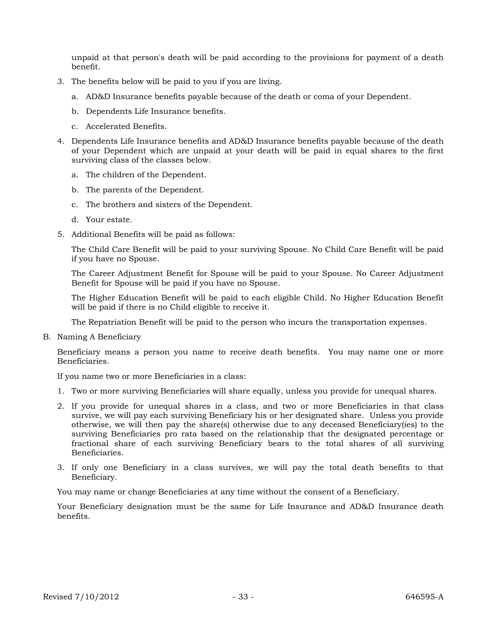unpaid at that person's death will be paid according to the provisions for payment of a death benefit.

- 3. The benefits below will be paid to you if you are living.
	- a. AD&D Insurance benefits payable because of the death or coma of your Dependent.
	- b. Dependents Life Insurance benefits.
	- c. Accelerated Benefits.
- 4. Dependents Life Insurance benefits and AD&D Insurance benefits payable because of the death of your Dependent which are unpaid at your death will be paid in equal shares to the first surviving class of the classes below.
	- a. The children of the Dependent.
	- b. The parents of the Dependent.
	- c. The brothers and sisters of the Dependent.
	- d. Your estate.
- 5. Additional Benefits will be paid as follows:

The Child Care Benefit will be paid to your surviving Spouse. No Child Care Benefit will be paid if you have no Spouse.

The Career Adjustment Benefit for Spouse will be paid to your Spouse. No Career Adjustment Benefit for Spouse will be paid if you have no Spouse.

The Higher Education Benefit will be paid to each eligible Child. No Higher Education Benefit will be paid if there is no Child eligible to receive it.

The Repatriation Benefit will be paid to the person who incurs the transportation expenses.

B. Naming A Beneficiary

Beneficiary means a person you name to receive death benefits. You may name one or more Beneficiaries.

If you name two or more Beneficiaries in a class:

- 1. Two or more surviving Beneficiaries will share equally, unless you provide for unequal shares.
- 2. If you provide for unequal shares in a class, and two or more Beneficiaries in that class survive, we will pay each surviving Beneficiary his or her designated share. Unless you provide otherwise, we will then pay the share(s) otherwise due to any deceased Beneficiary(ies) to the surviving Beneficiaries pro rata based on the relationship that the designated percentage or fractional share of each surviving Beneficiary bears to the total shares of all surviving Beneficiaries.
- 3. If only one Beneficiary in a class survives, we will pay the total death benefits to that Beneficiary.

You may name or change Beneficiaries at any time without the consent of a Beneficiary.

Your Beneficiary designation must be the same for Life Insurance and AD&D Insurance death benefits.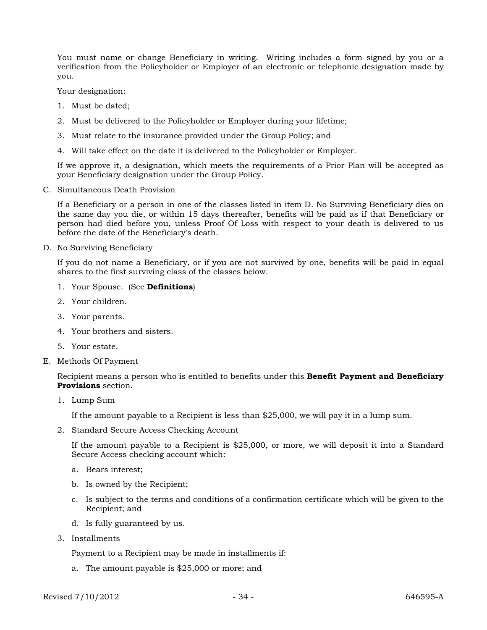You must name or change Beneficiary in writing. Writing includes a form signed by you or a verification from the Policyholder or Employer of an electronic or telephonic designation made by you.

Your designation:

- 1. Must be dated;
- 2. Must be delivered to the Policyholder or Employer during your lifetime;
- 3. Must relate to the insurance provided under the Group Policy; and
- 4. Will take effect on the date it is delivered to the Policyholder or Employer.

If we approve it, a designation, which meets the requirements of a Prior Plan will be accepted as your Beneficiary designation under the Group Policy.

C. Simultaneous Death Provision

If a Beneficiary or a person in one of the classes listed in item D. No Surviving Beneficiary dies on the same day you die, or within 15 days thereafter, benefits will be paid as if that Beneficiary or person had died before you, unless Proof Of Loss with respect to your death is delivered to us before the date of the Beneficiary's death.

D. No Surviving Beneficiary

If you do not name a Beneficiary, or if you are not survived by one, benefits will be paid in equal shares to the first surviving class of the classes below.

- 1. Your Spouse. (See **Definitions**)
- 2. Your children.
- 3. Your parents.
- 4. Your brothers and sisters.
- 5. Your estate.
- E. Methods Of Payment

Recipient means a person who is entitled to benefits under this **Benefit Payment and Beneficiary Provisions** section.

1. Lump Sum

If the amount payable to a Recipient is less than \$25,000, we will pay it in a lump sum.

2. Standard Secure Access Checking Account

If the amount payable to a Recipient is \$25,000, or more, we will deposit it into a Standard Secure Access checking account which:

- a. Bears interest;
- b. Is owned by the Recipient;
- c. Is subject to the terms and conditions of a confirmation certificate which will be given to the Recipient; and
- d. Is fully guaranteed by us.
- 3. Installments

Payment to a Recipient may be made in installments if:

a. The amount payable is \$25,000 or more; and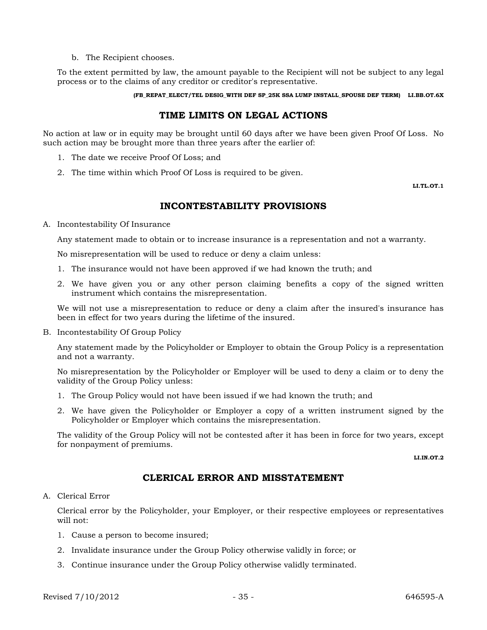b. The Recipient chooses.

To the extent permitted by law, the amount payable to the Recipient will not be subject to any legal process or to the claims of any creditor or creditor's representative.

**(FB\_REPAT\_ELECT/TEL DESIG\_WITH DEF SP\_25K SSA LUMP INSTALL\_SPOUSE DEF TERM) LI.BB.OT.6X**

### **TIME LIMITS ON LEGAL ACTIONS**

No action at law or in equity may be brought until 60 days after we have been given Proof Of Loss. No such action may be brought more than three years after the earlier of:

- 1. The date we receive Proof Of Loss; and
- 2. The time within which Proof Of Loss is required to be given.

**LI.TL.OT.1**

### **INCONTESTABILITY PROVISIONS**

A. Incontestability Of Insurance

Any statement made to obtain or to increase insurance is a representation and not a warranty.

No misrepresentation will be used to reduce or deny a claim unless:

- 1. The insurance would not have been approved if we had known the truth; and
- 2. We have given you or any other person claiming benefits a copy of the signed written instrument which contains the misrepresentation.

We will not use a misrepresentation to reduce or deny a claim after the insured's insurance has been in effect for two years during the lifetime of the insured.

B. Incontestability Of Group Policy

Any statement made by the Policyholder or Employer to obtain the Group Policy is a representation and not a warranty.

No misrepresentation by the Policyholder or Employer will be used to deny a claim or to deny the validity of the Group Policy unless:

- 1. The Group Policy would not have been issued if we had known the truth; and
- 2. We have given the Policyholder or Employer a copy of a written instrument signed by the Policyholder or Employer which contains the misrepresentation.

The validity of the Group Policy will not be contested after it has been in force for two years, except for nonpayment of premiums.

**LI.IN.OT.2**

### **CLERICAL ERROR AND MISSTATEMENT**

#### A. Clerical Error

Clerical error by the Policyholder, your Employer, or their respective employees or representatives will not:

- 1. Cause a person to become insured;
- 2. Invalidate insurance under the Group Policy otherwise validly in force; or
- 3. Continue insurance under the Group Policy otherwise validly terminated.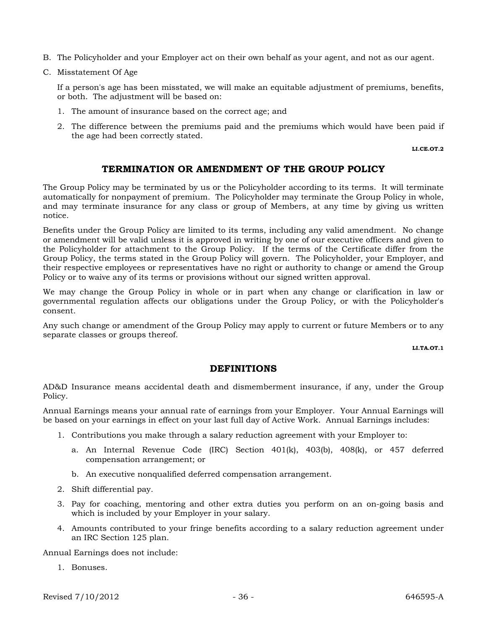- B. The Policyholder and your Employer act on their own behalf as your agent, and not as our agent.
- C. Misstatement Of Age

If a person's age has been misstated, we will make an equitable adjustment of premiums, benefits, or both. The adjustment will be based on:

- 1. The amount of insurance based on the correct age; and
- 2. The difference between the premiums paid and the premiums which would have been paid if the age had been correctly stated.

**LI.CE.OT.2**

### **TERMINATION OR AMENDMENT OF THE GROUP POLICY**

The Group Policy may be terminated by us or the Policyholder according to its terms. It will terminate automatically for nonpayment of premium. The Policyholder may terminate the Group Policy in whole, and may terminate insurance for any class or group of Members, at any time by giving us written notice.

Benefits under the Group Policy are limited to its terms, including any valid amendment. No change or amendment will be valid unless it is approved in writing by one of our executive officers and given to the Policyholder for attachment to the Group Policy. If the terms of the Certificate differ from the Group Policy, the terms stated in the Group Policy will govern. The Policyholder, your Employer, and their respective employees or representatives have no right or authority to change or amend the Group Policy or to waive any of its terms or provisions without our signed written approval.

We may change the Group Policy in whole or in part when any change or clarification in law or governmental regulation affects our obligations under the Group Policy, or with the Policyholder's consent.

Any such change or amendment of the Group Policy may apply to current or future Members or to any separate classes or groups thereof.

**LI.TA.OT.1**

### **DEFINITIONS**

AD&D Insurance means accidental death and dismemberment insurance, if any, under the Group Policy.

Annual Earnings means your annual rate of earnings from your Employer. Your Annual Earnings will be based on your earnings in effect on your last full day of Active Work. Annual Earnings includes:

- 1. Contributions you make through a salary reduction agreement with your Employer to:
	- a. An Internal Revenue Code (IRC) Section 401(k), 403(b), 408(k), or 457 deferred compensation arrangement; or
	- b. An executive nonqualified deferred compensation arrangement.
- 2. Shift differential pay.
- 3. Pay for coaching, mentoring and other extra duties you perform on an on-going basis and which is included by your Employer in your salary.
- 4. Amounts contributed to your fringe benefits according to a salary reduction agreement under an IRC Section 125 plan.

Annual Earnings does not include:

1. Bonuses.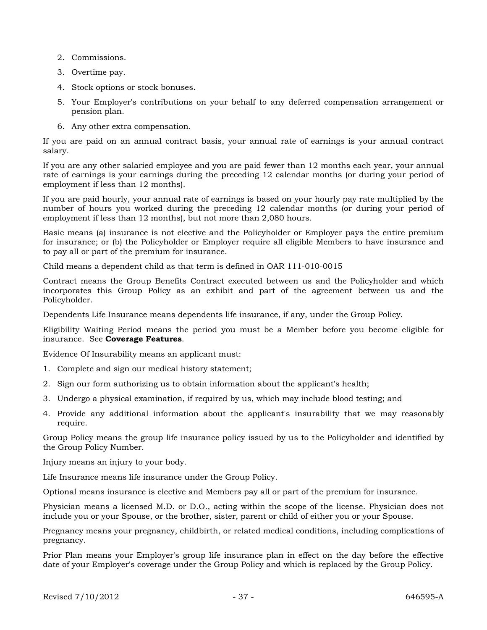- 2. Commissions.
- 3. Overtime pay.
- 4. Stock options or stock bonuses.
- 5. Your Employer's contributions on your behalf to any deferred compensation arrangement or pension plan.
- 6. Any other extra compensation.

If you are paid on an annual contract basis, your annual rate of earnings is your annual contract salary.

If you are any other salaried employee and you are paid fewer than 12 months each year, your annual rate of earnings is your earnings during the preceding 12 calendar months (or during your period of employment if less than 12 months).

If you are paid hourly, your annual rate of earnings is based on your hourly pay rate multiplied by the number of hours you worked during the preceding 12 calendar months (or during your period of employment if less than 12 months), but not more than 2,080 hours.

Basic means (a) insurance is not elective and the Policyholder or Employer pays the entire premium for insurance; or (b) the Policyholder or Employer require all eligible Members to have insurance and to pay all or part of the premium for insurance.

Child means a dependent child as that term is defined in OAR 111-010-0015

Contract means the Group Benefits Contract executed between us and the Policyholder and which incorporates this Group Policy as an exhibit and part of the agreement between us and the Policyholder.

Dependents Life Insurance means dependents life insurance, if any, under the Group Policy.

Eligibility Waiting Period means the period you must be a Member before you become eligible for insurance. See **Coverage Features**.

Evidence Of Insurability means an applicant must:

- 1. Complete and sign our medical history statement;
- 2. Sign our form authorizing us to obtain information about the applicant's health;
- 3. Undergo a physical examination, if required by us, which may include blood testing; and
- 4. Provide any additional information about the applicant's insurability that we may reasonably require.

Group Policy means the group life insurance policy issued by us to the Policyholder and identified by the Group Policy Number.

Injury means an injury to your body.

Life Insurance means life insurance under the Group Policy.

Optional means insurance is elective and Members pay all or part of the premium for insurance.

Physician means a licensed M.D. or D.O., acting within the scope of the license. Physician does not include you or your Spouse, or the brother, sister, parent or child of either you or your Spouse.

Pregnancy means your pregnancy, childbirth, or related medical conditions, including complications of pregnancy.

Prior Plan means your Employer's group life insurance plan in effect on the day before the effective date of your Employer's coverage under the Group Policy and which is replaced by the Group Policy.